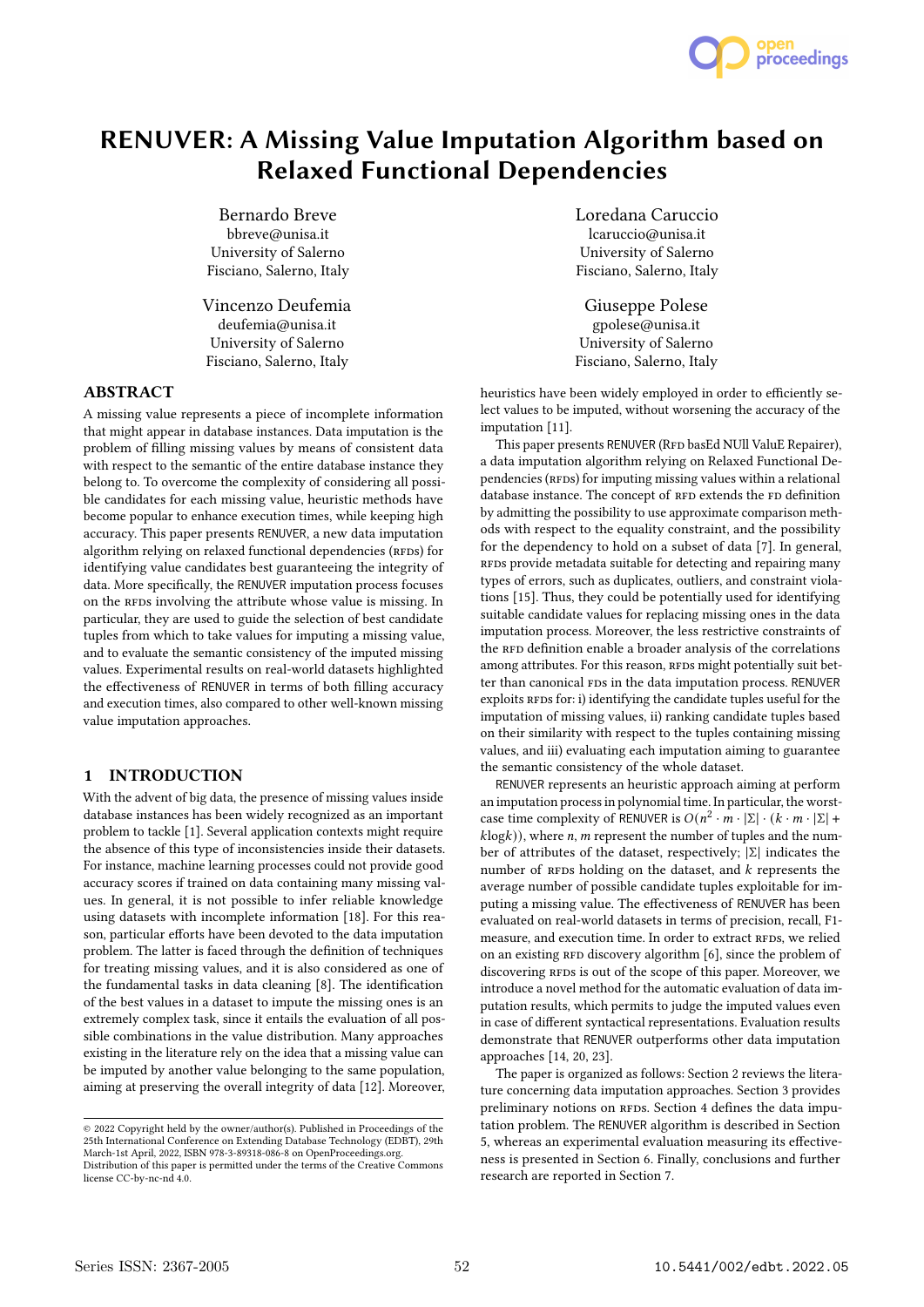

# RENUVER: A Missing Value Imputation Algorithm based on Relaxed Functional Dependencies

Bernardo Breve bbreve@unisa.it University of Salerno Fisciano, Salerno, Italy

Vincenzo Deufemia deufemia@unisa.it University of Salerno Fisciano, Salerno, Italy

# ABSTRACT

A missing value represents a piece of incomplete information that might appear in database instances. Data imputation is the problem of filling missing values by means of consistent data with respect to the semantic of the entire database instance they belong to. To overcome the complexity of considering all possible candidates for each missing value, heuristic methods have become popular to enhance execution times, while keeping high accuracy. This paper presents RENUVER, a new data imputation algorithm relying on relaxed functional dependencies (RFDs) for identifying value candidates best guaranteeing the integrity of data. More specifically, the RENUVER imputation process focuses on the RFDs involving the attribute whose value is missing. In particular, they are used to guide the selection of best candidate tuples from which to take values for imputing a missing value, and to evaluate the semantic consistency of the imputed missing values. Experimental results on real-world datasets highlighted the effectiveness of RENUVER in terms of both filling accuracy and execution times, also compared to other well-known missing value imputation approaches.

# 1 INTRODUCTION

With the advent of big data, the presence of missing values inside database instances has been widely recognized as an important problem to tackle [1]. Several application contexts might require the absence of this type of inconsistencies inside their datasets. For instance, machine learning processes could not provide good accuracy scores if trained on data containing many missing values. In general, it is not possible to infer reliable knowledge using datasets with incomplete information [18]. For this reason, particular efforts have been devoted to the data imputation problem. The latter is faced through the definition of techniques for treating missing values, and it is also considered as one of the fundamental tasks in data cleaning [8]. The identification of the best values in a dataset to impute the missing ones is an extremely complex task, since it entails the evaluation of all possible combinations in the value distribution. Many approaches existing in the literature rely on the idea that a missing value can be imputed by another value belonging to the same population, aiming at preserving the overall integrity of data [12]. Moreover,

Loredana Caruccio lcaruccio@unisa.it University of Salerno Fisciano, Salerno, Italy

Giuseppe Polese gpolese@unisa.it University of Salerno Fisciano, Salerno, Italy

heuristics have been widely employed in order to efficiently select values to be imputed, without worsening the accuracy of the imputation [11].

This paper presents RENUVER (RFD basEd NUll ValuE Repairer), a data imputation algorithm relying on Relaxed Functional Dependencies (RFDs) for imputing missing values within a relational database instance. The concept of RFD extends the FD definition by admitting the possibility to use approximate comparison methods with respect to the equality constraint, and the possibility for the dependency to hold on a subset of data [7]. In general, RFDs provide metadata suitable for detecting and repairing many types of errors, such as duplicates, outliers, and constraint violations [15]. Thus, they could be potentially used for identifying suitable candidate values for replacing missing ones in the data imputation process. Moreover, the less restrictive constraints of the RFD definition enable a broader analysis of the correlations among attributes. For this reason, RFDs might potentially suit better than canonical FDs in the data imputation process. RENUVER exploits RFDs for: i) identifying the candidate tuples useful for the imputation of missing values, ii) ranking candidate tuples based on their similarity with respect to the tuples containing missing values, and iii) evaluating each imputation aiming to guarantee the semantic consistency of the whole dataset.

RENUVER represents an heuristic approach aiming at perform an imputation process in polynomial time. In particular, the worstcase time complexity of RENUVER is  $O(n^2 \cdot m \cdot |\Sigma| \cdot (k \cdot m \cdot |\Sigma| +$  $klog(k)$ , where *n*, *m* represent the number of tuples and the number of attributes of the dataset, respectively; |Σ| indicates the number of RFDs holding on the dataset, and  $k$  represents the average number of possible candidate tuples exploitable for imputing a missing value. The effectiveness of RENUVER has been evaluated on real-world datasets in terms of precision, recall, F1 measure, and execution time. In order to extract RFDs, we relied on an existing RFD discovery algorithm [6], since the problem of discovering RFDs is out of the scope of this paper. Moreover, we introduce a novel method for the automatic evaluation of data imputation results, which permits to judge the imputed values even in case of different syntactical representations. Evaluation results demonstrate that RENUVER outperforms other data imputation approaches [14, 20, 23].

The paper is organized as follows: Section 2 reviews the literature concerning data imputation approaches. Section 3 provides preliminary notions on RFDs. Section 4 defines the data imputation problem. The RENUVER algorithm is described in Section 5, whereas an experimental evaluation measuring its effectiveness is presented in Section 6. Finally, conclusions and further research are reported in Section 7.

<sup>©</sup> 2022 Copyright held by the owner/author(s). Published in Proceedings of the 25th International Conference on Extending Database Technology (EDBT), 29th March-1st April, 2022, ISBN 978-3-89318-086-8 on OpenProceedings.org.

Distribution of this paper is permitted under the terms of the Creative Commons license CC-by-nc-nd 4.0.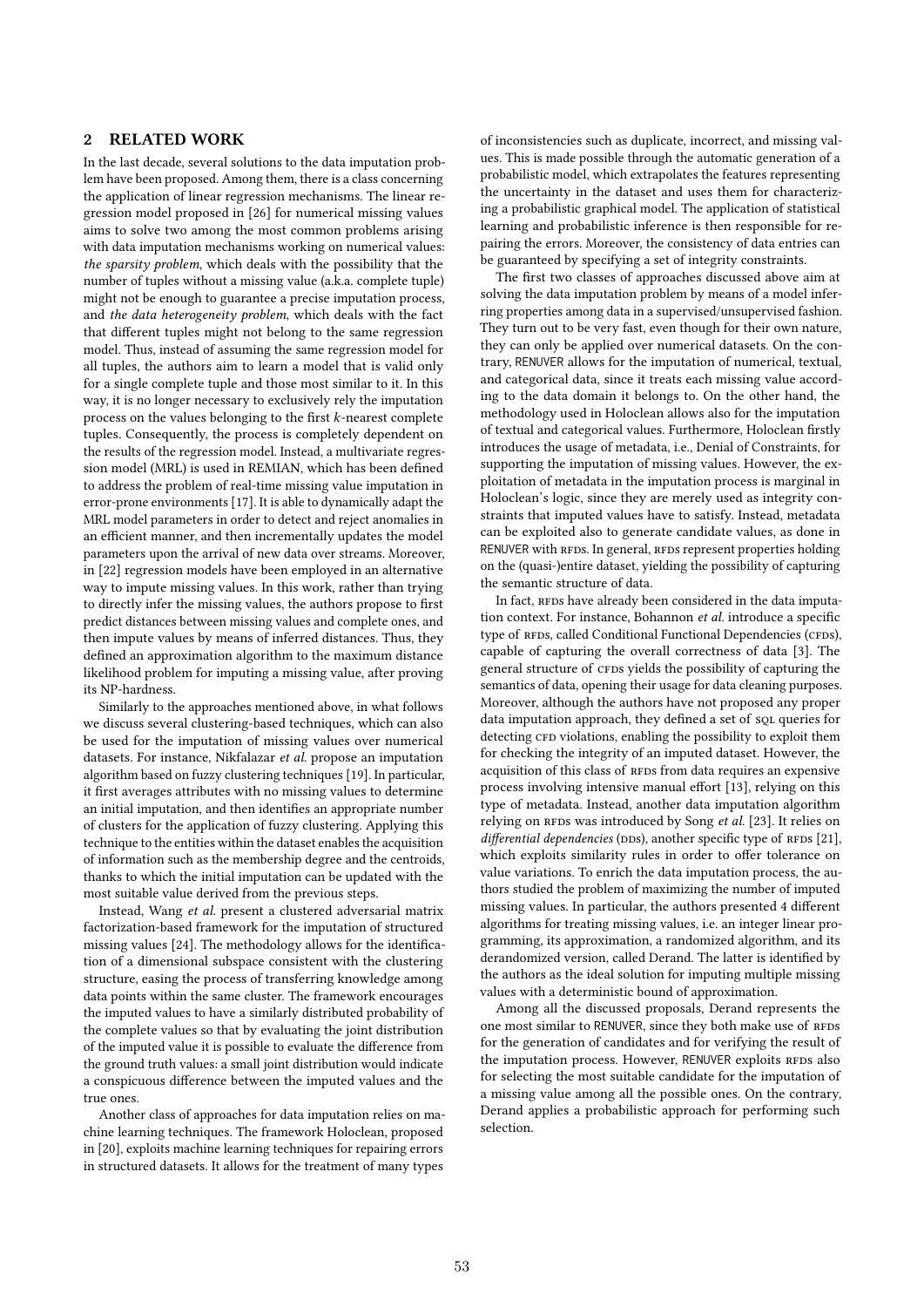# 2 RELATED WORK

In the last decade, several solutions to the data imputation problem have been proposed. Among them, there is a class concerning the application of linear regression mechanisms. The linear regression model proposed in [26] for numerical missing values aims to solve two among the most common problems arising with data imputation mechanisms working on numerical values: the sparsity problem, which deals with the possibility that the number of tuples without a missing value (a.k.a. complete tuple) might not be enough to guarantee a precise imputation process, and the data heterogeneity problem, which deals with the fact that different tuples might not belong to the same regression model. Thus, instead of assuming the same regression model for all tuples, the authors aim to learn a model that is valid only for a single complete tuple and those most similar to it. In this way, it is no longer necessary to exclusively rely the imputation process on the values belonging to the first  $k$ -nearest complete tuples. Consequently, the process is completely dependent on the results of the regression model. Instead, a multivariate regression model (MRL) is used in REMIAN, which has been defined to address the problem of real-time missing value imputation in error-prone environments [17]. It is able to dynamically adapt the MRL model parameters in order to detect and reject anomalies in an efficient manner, and then incrementally updates the model parameters upon the arrival of new data over streams. Moreover, in [22] regression models have been employed in an alternative way to impute missing values. In this work, rather than trying to directly infer the missing values, the authors propose to first predict distances between missing values and complete ones, and then impute values by means of inferred distances. Thus, they defined an approximation algorithm to the maximum distance likelihood problem for imputing a missing value, after proving its NP-hardness.

Similarly to the approaches mentioned above, in what follows we discuss several clustering-based techniques, which can also be used for the imputation of missing values over numerical datasets. For instance, Nikfalazar et al. propose an imputation algorithm based on fuzzy clustering techniques [19]. In particular, it first averages attributes with no missing values to determine an initial imputation, and then identifies an appropriate number of clusters for the application of fuzzy clustering. Applying this technique to the entities within the dataset enables the acquisition of information such as the membership degree and the centroids, thanks to which the initial imputation can be updated with the most suitable value derived from the previous steps.

Instead, Wang et al. present a clustered adversarial matrix factorization-based framework for the imputation of structured missing values [24]. The methodology allows for the identification of a dimensional subspace consistent with the clustering structure, easing the process of transferring knowledge among data points within the same cluster. The framework encourages the imputed values to have a similarly distributed probability of the complete values so that by evaluating the joint distribution of the imputed value it is possible to evaluate the difference from the ground truth values: a small joint distribution would indicate a conspicuous difference between the imputed values and the true ones.

Another class of approaches for data imputation relies on machine learning techniques. The framework Holoclean, proposed in [20], exploits machine learning techniques for repairing errors in structured datasets. It allows for the treatment of many types

of inconsistencies such as duplicate, incorrect, and missing values. This is made possible through the automatic generation of a probabilistic model, which extrapolates the features representing the uncertainty in the dataset and uses them for characterizing a probabilistic graphical model. The application of statistical learning and probabilistic inference is then responsible for repairing the errors. Moreover, the consistency of data entries can be guaranteed by specifying a set of integrity constraints.

The first two classes of approaches discussed above aim at solving the data imputation problem by means of a model inferring properties among data in a supervised/unsupervised fashion. They turn out to be very fast, even though for their own nature, they can only be applied over numerical datasets. On the contrary, RENUVER allows for the imputation of numerical, textual, and categorical data, since it treats each missing value according to the data domain it belongs to. On the other hand, the methodology used in Holoclean allows also for the imputation of textual and categorical values. Furthermore, Holoclean firstly introduces the usage of metadata, i.e., Denial of Constraints, for supporting the imputation of missing values. However, the exploitation of metadata in the imputation process is marginal in Holoclean's logic, since they are merely used as integrity constraints that imputed values have to satisfy. Instead, metadata can be exploited also to generate candidate values, as done in RENUVER with RFDs. In general, RFDs represent properties holding on the (quasi-)entire dataset, yielding the possibility of capturing the semantic structure of data.

In fact, RFDs have already been considered in the data imputation context. For instance, Bohannon et al. introduce a specific type of RFDs, called Conditional Functional Dependencies (CFDs), capable of capturing the overall correctness of data [3]. The general structure of CFDs yields the possibility of capturing the semantics of data, opening their usage for data cleaning purposes. Moreover, although the authors have not proposed any proper data imputation approach, they defined a set of sQL queries for detecting CFD violations, enabling the possibility to exploit them for checking the integrity of an imputed dataset. However, the acquisition of this class of RFDs from data requires an expensive process involving intensive manual effort [13], relying on this type of metadata. Instead, another data imputation algorithm relying on RFDs was introduced by Song et al. [23]. It relies on differential dependencies (DDs), another specific type of RFDS [21], which exploits similarity rules in order to offer tolerance on value variations. To enrich the data imputation process, the authors studied the problem of maximizing the number of imputed missing values. In particular, the authors presented 4 different algorithms for treating missing values, i.e. an integer linear programming, its approximation, a randomized algorithm, and its derandomized version, called Derand. The latter is identified by the authors as the ideal solution for imputing multiple missing values with a deterministic bound of approximation.

Among all the discussed proposals, Derand represents the one most similar to RENUVER, since they both make use of RFDs for the generation of candidates and for verifying the result of the imputation process. However, RENUVER exploits RFDs also for selecting the most suitable candidate for the imputation of a missing value among all the possible ones. On the contrary, Derand applies a probabilistic approach for performing such selection.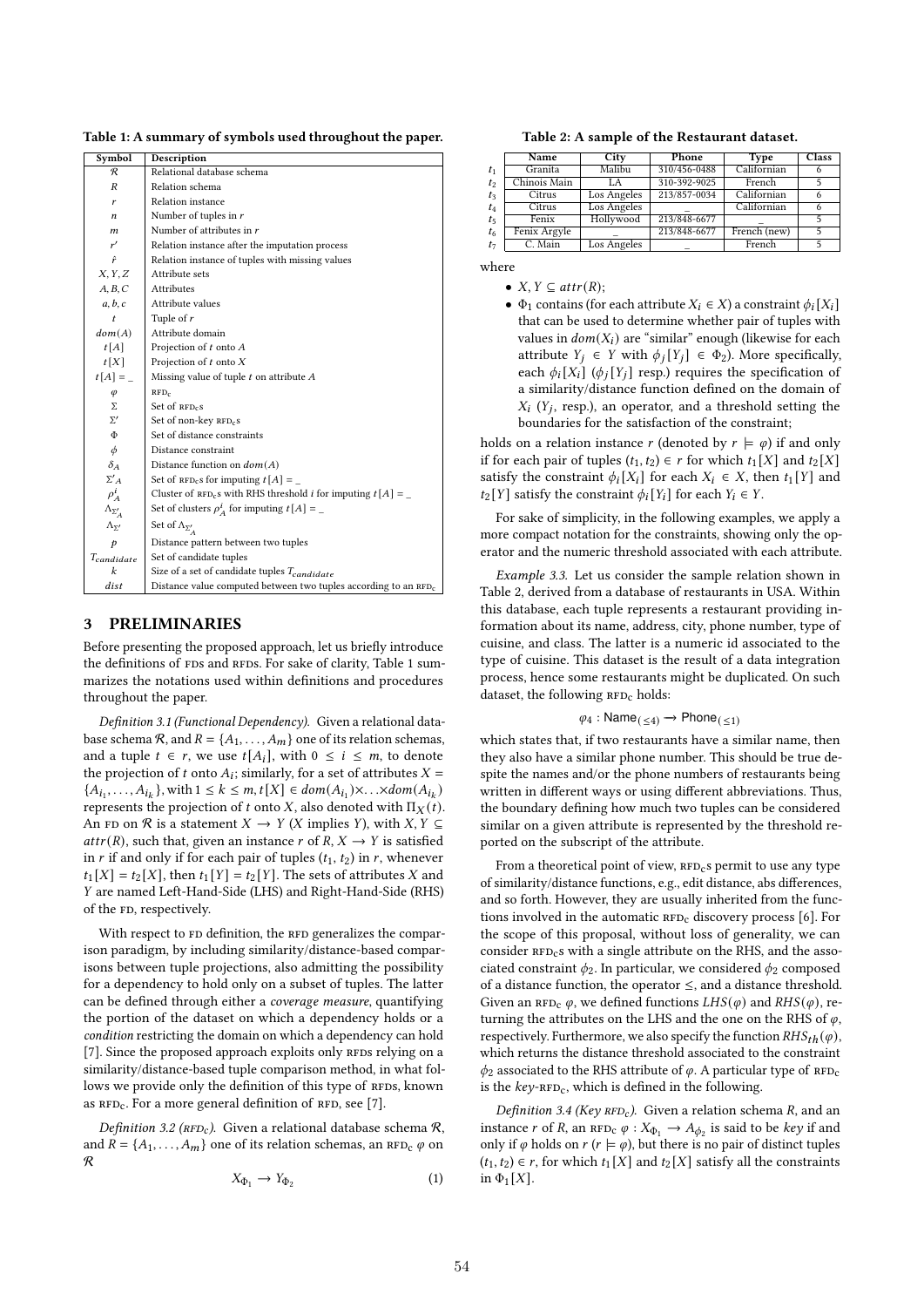Table 1: A summary of symbols used throughout the paper.

| Symbol                  | Description                                                            |  |  |  |  |
|-------------------------|------------------------------------------------------------------------|--|--|--|--|
| R                       | Relational database schema                                             |  |  |  |  |
| R                       | Relation schema                                                        |  |  |  |  |
| r                       | Relation instance                                                      |  |  |  |  |
| n                       | Number of tuples in $r$                                                |  |  |  |  |
| $\boldsymbol{m}$        | Number of attributes in $r$                                            |  |  |  |  |
| r'                      | Relation instance after the imputation process                         |  |  |  |  |
| ŕ                       | Relation instance of tuples with missing values                        |  |  |  |  |
| X, Y, Z                 | Attribute sets                                                         |  |  |  |  |
| A, B, C                 | <b>Attributes</b>                                                      |  |  |  |  |
| a, b, c                 | Attribute values                                                       |  |  |  |  |
| t                       | Tuple of $r$                                                           |  |  |  |  |
| dom(A)                  | Attribute domain                                                       |  |  |  |  |
| t[A]                    | Projection of $t$ onto $A$                                             |  |  |  |  |
| t[X]                    | Projection of $t$ onto $X$                                             |  |  |  |  |
| $t[A] =$                | Missing value of tuple $t$ on attribute $A$                            |  |  |  |  |
| $\varphi$               | RFD <sub>c</sub>                                                       |  |  |  |  |
| Σ                       | Set of $RFDc$ s                                                        |  |  |  |  |
| $\Sigma'$               | Set of non-key RFD <sub>c</sub> S                                      |  |  |  |  |
| $\Phi$                  | Set of distance constraints                                            |  |  |  |  |
| $\phi$                  | Distance constraint                                                    |  |  |  |  |
| $\delta_A$              | Distance function on $dom(A)$                                          |  |  |  |  |
| $\Sigma'$ A             | Set of $RFD_{c}s$ for imputing $t[A] =$                                |  |  |  |  |
| $\rho_A^i$              | Cluster of $RFD_c s$ with RHS threshold <i>i</i> for imputing $t[A] =$ |  |  |  |  |
| $\Lambda_{\Sigma'_{A}}$ | Set of clusters $\rho_A^t$ for imputing $t[A] =$                       |  |  |  |  |
| $\Lambda_{\Sigma'}$     | Set of $\Lambda_{\Sigma_{A}^{\prime}}$                                 |  |  |  |  |
| p                       | Distance pattern between two tuples                                    |  |  |  |  |
| $T_{candidate}$         | Set of candidate tuples                                                |  |  |  |  |
| k                       | Size of a set of candidate tuples $T_{candidate}$                      |  |  |  |  |
| dist                    | Distance value computed between two tuples according to an $RFD_c$     |  |  |  |  |

# 3 PRELIMINARIES

Before presenting the proposed approach, let us briefly introduce the definitions of FDs and RFDs. For sake of clarity, Table 1 summarizes the notations used within definitions and procedures throughout the paper.

Definition 3.1 (Functional Dependency). Given a relational database schema  $\mathcal{R}$ , and  $R = \{A_1, \ldots, A_m\}$  one of its relation schemas, and a tuple  $t \in r$ , we use  $t[A_i]$ , with  $0 \le i \le m$ , to denote the projection of  $t$  onto  $A_i$ ; similarly, for a set of attributes  $X =$  $\{A_{i_1}, \ldots, A_{i_k}\}, \text{with } 1 \leq k \leq m, t[X] \in dom(A_{i_1}) \times \ldots \times dom(A_{i_k})$ represents the projection of t onto X, also denoted with  $\Pi_X(t)$ . An FD on  $\Re$  is a statement  $X \to Y$  (X implies Y), with  $X, Y \subseteq$  $attr(R)$ , such that, given an instance r of  $R, X \rightarrow Y$  is satisfied in *r* if and only if for each pair of tuples  $(t_1, t_2)$  in *r*, whenever  $t_1[X] = t_2[X]$ , then  $t_1[Y] = t_2[Y]$ . The sets of attributes X and Y are named Left-Hand-Side (LHS) and Right-Hand-Side (RHS) of the FD, respectively.

With respect to FD definition, the RFD generalizes the comparison paradigm, by including similarity/distance-based comparisons between tuple projections, also admitting the possibility for a dependency to hold only on a subset of tuples. The latter can be defined through either a coverage measure, quantifying the portion of the dataset on which a dependency holds or a condition restricting the domain on which a dependency can hold  $[7]$ . Since the proposed approach exploits only RFDs relying on a similarity/distance-based tuple comparison method, in what follows we provide only the definition of this type of RFDS, known as  $RFD_c$ . For a more general definition of  $RFD$ , see [7].

Definition 3.2 ( $RFD_c$ ). Given a relational database schema  $R$ , and  $R = \{A_1, \ldots, A_m\}$  one of its relation schemas, an RFD<sub>c</sub>  $\varphi$  on R

$$
X_{\Phi_1} \to Y_{\Phi_2} \tag{1}
$$

Table 2: A sample of the Restaurant dataset.

|                | Name         | City        | Phone        | <b>Type</b>  | <b>Class</b> |
|----------------|--------------|-------------|--------------|--------------|--------------|
| $t_1$          | Granita      | Malibu      | 310/456-0488 | Californian  |              |
| t <sub>2</sub> | Chinois Main | T.A         | 310-392-9025 | French       |              |
| $t_3$          | Citrus       | Los Angeles | 213/857-0034 | Californian  |              |
| $t_4$          | Citrus       | Los Angeles |              | Californian  |              |
| $t_{5}$        | Fenix        | Hollywood   | 213/848-6677 |              |              |
| $t_6$          | Fenix Argyle |             | 213/848-6677 | French (new) |              |
| $t_7$          | C. Main      | Los Angeles |              | French       |              |

where

- $X, Y \subseteq attr(R);$
- $\Phi_1$  contains (for each attribute  $X_i \in X$ ) a constraint  $\phi_i[X_i]$ that can be used to determine whether pair of tuples with values in  $dom(X_i)$  are "similar" enough (likewise for each attribute  $Y_j \in Y$  with  $\phi_j[Y_j] \in \Phi_2$ ). More specifically, each  $\phi_i[X_i]$  ( $\phi_i[Y_j]$  resp.) requires the specification of a similarity/distance function defined on the domain of  $X_i$  (Y<sub>j</sub>, resp.), an operator, and a threshold setting the boundaries for the satisfaction of the constraint;

holds on a relation instance r (denoted by  $r \models \varphi$ ) if and only if for each pair of tuples  $(t_1, t_2) \in r$  for which  $t_1[X]$  and  $t_2[X]$ satisfy the constraint  $\phi_i[X_i]$  for each  $X_i \in X$ , then  $t_1[Y]$  and  $t_2[Y]$  satisfy the constraint  $\phi_i[Y_i]$  for each  $Y_i \in Y$ .

For sake of simplicity, in the following examples, we apply a more compact notation for the constraints, showing only the operator and the numeric threshold associated with each attribute.

Example 3.3. Let us consider the sample relation shown in Table 2, derived from a database of restaurants in USA. Within this database, each tuple represents a restaurant providing information about its name, address, city, phone number, type of cuisine, and class. The latter is a numeric id associated to the type of cuisine. This dataset is the result of a data integration process, hence some restaurants might be duplicated. On such dataset, the following  $RFD<sub>c</sub>$  holds:

$$
\varphi_4: \mathsf{Name}_{(\leq 4)} \to \mathsf{Phone}_{(\leq 1)}
$$

which states that, if two restaurants have a similar name, then they also have a similar phone number. This should be true despite the names and/or the phone numbers of restaurants being written in different ways or using different abbreviations. Thus, the boundary defining how much two tuples can be considered similar on a given attribute is represented by the threshold reported on the subscript of the attribute.

From a theoretical point of view,  $RFD<sub>c</sub>$ s permit to use any type of similarity/distance functions, e.g., edit distance, abs differences, and so forth. However, they are usually inherited from the functions involved in the automatic  $RFD_c$  discovery process [6]. For the scope of this proposal, without loss of generality, we can consider  $RFD<sub>c</sub>$ s with a single attribute on the RHS, and the associated constraint  $\phi_2$ . In particular, we considered  $\phi_2$  composed of a distance function, the operator  $\leq$ , and a distance threshold. Given an RFD<sub>c</sub>  $\varphi$ , we defined functions  $LHS(\varphi)$  and  $RHS(\varphi)$ , returning the attributes on the LHS and the one on the RHS of  $\varphi$ , respectively. Furthermore, we also specify the function  $RHS_{th}(\varphi)$ , which returns the distance threshold associated to the constraint  $\phi_2$  associated to the RHS attribute of  $\varphi$ . A particular type of RFD<sub>C</sub> is the  $key$ - $RFD_c$ , which is defined in the following.

Definition 3.4 (Key  $RFD_c$ ). Given a relation schema R, and an instance  $r$  of  $R$ , an  $RFD_c \varphi : X_{\Phi_1} \to A_{\phi_2}$  is said to be *key* if and only if  $\varphi$  holds on  $r (r \models \varphi)$ , but there is no pair of distinct tuples  $(t_1, t_2) \in r$ , for which  $t_1[X]$  and  $t_2[X]$  satisfy all the constraints in  $\Phi_1[X]$ .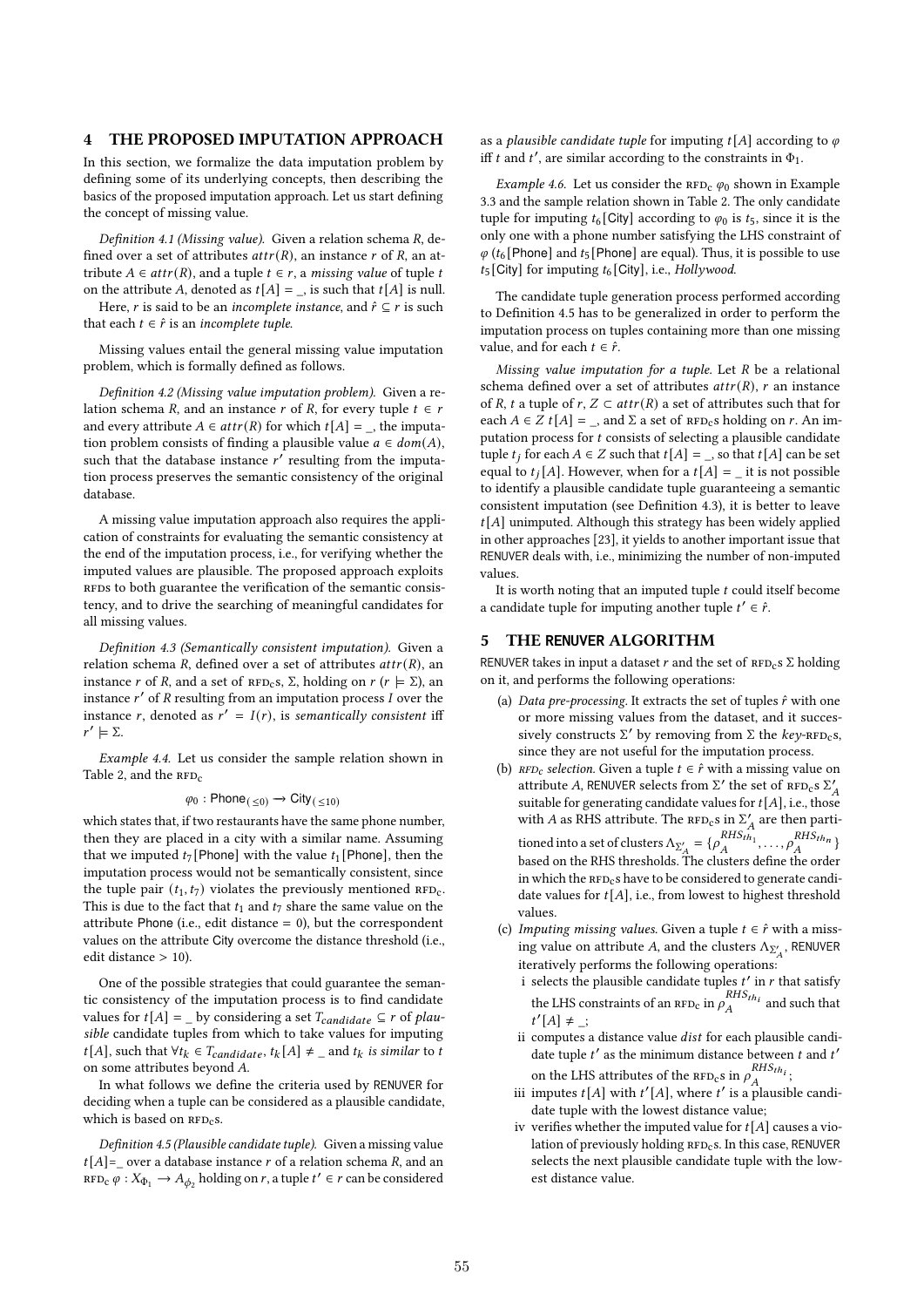# 4 THE PROPOSED IMPUTATION APPROACH

In this section, we formalize the data imputation problem by defining some of its underlying concepts, then describing the basics of the proposed imputation approach. Let us start defining the concept of missing value.

Definition 4.1 (Missing value). Given a relation schema  $R$ , defined over a set of attributes  $attr(R)$ , an instance r of R, an attribute  $A \in attr(R)$ , and a tuple  $t \in r$ , a missing value of tuple t on the attribute A, denoted as  $t[A] = \square$ , is such that  $t[A]$  is null.

Here, *r* is said to be an *incomplete instance*, and  $\hat{r} \subseteq r$  is such that each  $t \in \hat{r}$  is an *incomplete tuple*.

Missing values entail the general missing value imputation problem, which is formally defined as follows.

Definition 4.2 (Missing value imputation problem). Given a relation schema *R*, and an instance *r* of *R*, for every tuple  $t \in r$ and every attribute  $A \in attr(R)$  for which  $t[A] = \square$ , the imputation problem consists of finding a plausible value  $a \in dom(A)$ , such that the database instance  $r'$  resulting from the imputation process preserves the semantic consistency of the original database.

A missing value imputation approach also requires the application of constraints for evaluating the semantic consistency at the end of the imputation process, i.e., for verifying whether the imputed values are plausible. The proposed approach exploits RFDs to both guarantee the verification of the semantic consistency, and to drive the searching of meaningful candidates for all missing values.

Definition 4.3 (Semantically consistent imputation). Given a relation schema  $R$ , defined over a set of attributes  $attr(R)$ , an instance *r* of *R*, and a set of  $RFD_{c}s$ ,  $\Sigma$ , holding on  $r (r \models \Sigma)$ , an instance  $r'$  of  $R$  resulting from an imputation process  $I$  over the instance r, denoted as  $r' = I(r)$ , is semantically consistent iff  $r' \models \Sigma.$ 

Example 4.4. Let us consider the sample relation shown in Table 2, and the  $RFD<sub>c</sub>$ 

$$
\varphi_0 : \mathsf{Phone}_{(\leq 0)} \to \mathsf{City}_{(\leq 10)}
$$

which states that, if two restaurants have the same phone number, then they are placed in a city with a similar name. Assuming that we imputed  $t_7$  [Phone] with the value  $t_1$  [Phone], then the imputation process would not be semantically consistent, since the tuple pair  $(t_1, t_7)$  violates the previously mentioned  $RFD_c$ . This is due to the fact that  $t_1$  and  $t_7$  share the same value on the attribute Phone (i.e., edit distance  $= 0$ ), but the correspondent values on the attribute City overcome the distance threshold (i.e., edit distance > 10).

One of the possible strategies that could guarantee the semantic consistency of the imputation process is to find candidate values for  $t[A] = \underline{\ }$  by considering a set  $T_{candidate} \subseteq r$  of plausible candidate tuples from which to take values for imputing *t*[*A*], such that  $\forall t_k \in T_{candidate}, t_k[A] ≠ _{and} t_k$  *is similar* to *t* on some attributes beyond A.

In what follows we define the criteria used by RENUVER for deciding when a tuple can be considered as a plausible candidate, which is based on  $RFD<sub>c</sub>$ s.

Definition 4.5 (Plausible candidate tuple). Given a missing value  $t[A] =$  over a database instance r of a relation schema R, and an  $RFD_{\mathcal{C}} \varphi : X_{\Phi_1} \to A_{\phi_2}$  holding on  $r$ , a tuple  $t' \in r$  can be considered as a plausible candidate tuple for imputing  $t[A]$  according to  $\varphi$ iff *t* and *t'*, are similar according to the constraints in  $\Phi_1$ .

Example 4.6. Let us consider the  $RFD_C \varphi_0$  shown in Example 3.3 and the sample relation shown in Table 2. The only candidate tuple for imputing  $t_6$  [City] according to  $\varphi_0$  is  $t_5$ , since it is the only one with a phone number satisfying the LHS constraint of  $\varphi$  (t<sub>6</sub> [Phone] and t<sub>5</sub> [Phone] are equal). Thus, it is possible to use  $t_5$  [City] for imputing  $t_6$  [City], i.e., Hollywood.

The candidate tuple generation process performed according to Definition 4.5 has to be generalized in order to perform the imputation process on tuples containing more than one missing value, and for each  $t \in \hat{r}$ .

Missing value imputation for a tuple. Let  $R$  be a relational schema defined over a set of attributes  $attr(R)$ , r an instance of R, t a tuple of r,  $Z \subset attr(R)$  a set of attributes such that for each  $A \in Z$   $t[A] = \square$ , and  $\Sigma$  a set of  $RFD_c$ s holding on r. An imputation process for  $t$  consists of selecting a plausible candidate tuple  $t_i$  for each  $A \in Z$  such that  $t[A] = \square$ , so that  $t[A]$  can be set equal to  $t_i[A]$ . However, when for a  $t[A] =$  it is not possible to identify a plausible candidate tuple guaranteeing a semantic consistent imputation (see Definition 4.3), it is better to leave  $t[A]$  unimputed. Although this strategy has been widely applied in other approaches [23], it yields to another important issue that RENUVER deals with, i.e., minimizing the number of non-imputed values.

It is worth noting that an imputed tuple  $t$  could itself become a candidate tuple for imputing another tuple  $t' \in \hat{r}$ .

# 5 THE **RENUVER** ALGORITHM

RENUVER takes in input a dataset r and the set of  $RFD<sub>c</sub> S$  holding on it, and performs the following operations:

- (a) Data pre-processing. It extracts the set of tuples  $\hat{r}$  with one or more missing values from the dataset, and it successively constructs  $\Sigma'$  by removing from Σ the key-RFD<sub>c</sub>s, since they are not useful for the imputation process.
- (b)  $RFD_c$  selection. Given a tuple  $t \in \hat{r}$  with a missing value on attribute A, RENUVER selects from  $\Sigma'$  the set of  $RFD_Cs \Sigma'_{A}$ suitable for generating candidate values for  $t[A]$ , i.e., those with *A* as RHS attribute. The  $RFD_c s$  in  $\Sigma'_A$  are then partitioned into a set of clusters  $\Lambda_{\Sigma_A'} = \{ \rho_A^{RHS_{th_1}}, \ldots, \rho_A^{RHS_{th_n}} \}$ based on the RHS thresholds. The clusters define the order in which the  $RFD<sub>c</sub>$ s have to be considered to generate candidate values for  $t[A]$ , i.e., from lowest to highest threshold values.
- (c) Imputing missing values. Given a tuple  $t \in \hat{r}$  with a missing value on attribute  $A,$  and the clusters  $\Lambda_{\Sigma_A'},$  RENUVER iteratively performs the following operations:
	- i selects the plausible candidate tuples  $t'$  in  $r$  that satisfy the LHS constraints of an  $RFD_c$  in  $\rho_A^{RHS_{th_i}}$  and such that  $t'[A] \neq \_$
	- ii computes a distance value  $dist$  for each plausible candidate tuple  $t'$  as the minimum distance between  $t$  and  $t'$ on the LHS attributes of the  $RFD_c s$  in  $\rho_A^{RHS_{th_i}}$ ;
	- iii imputes  $t[A]$  with  $t'[A]$ , where  $t'$  is a plausible candidate tuple with the lowest distance value;
	- iv verifies whether the imputed value for  $t[A]$  causes a violation of previously holding  $RFD<sub>c</sub>$ s. In this case, RENUVER selects the next plausible candidate tuple with the lowest distance value.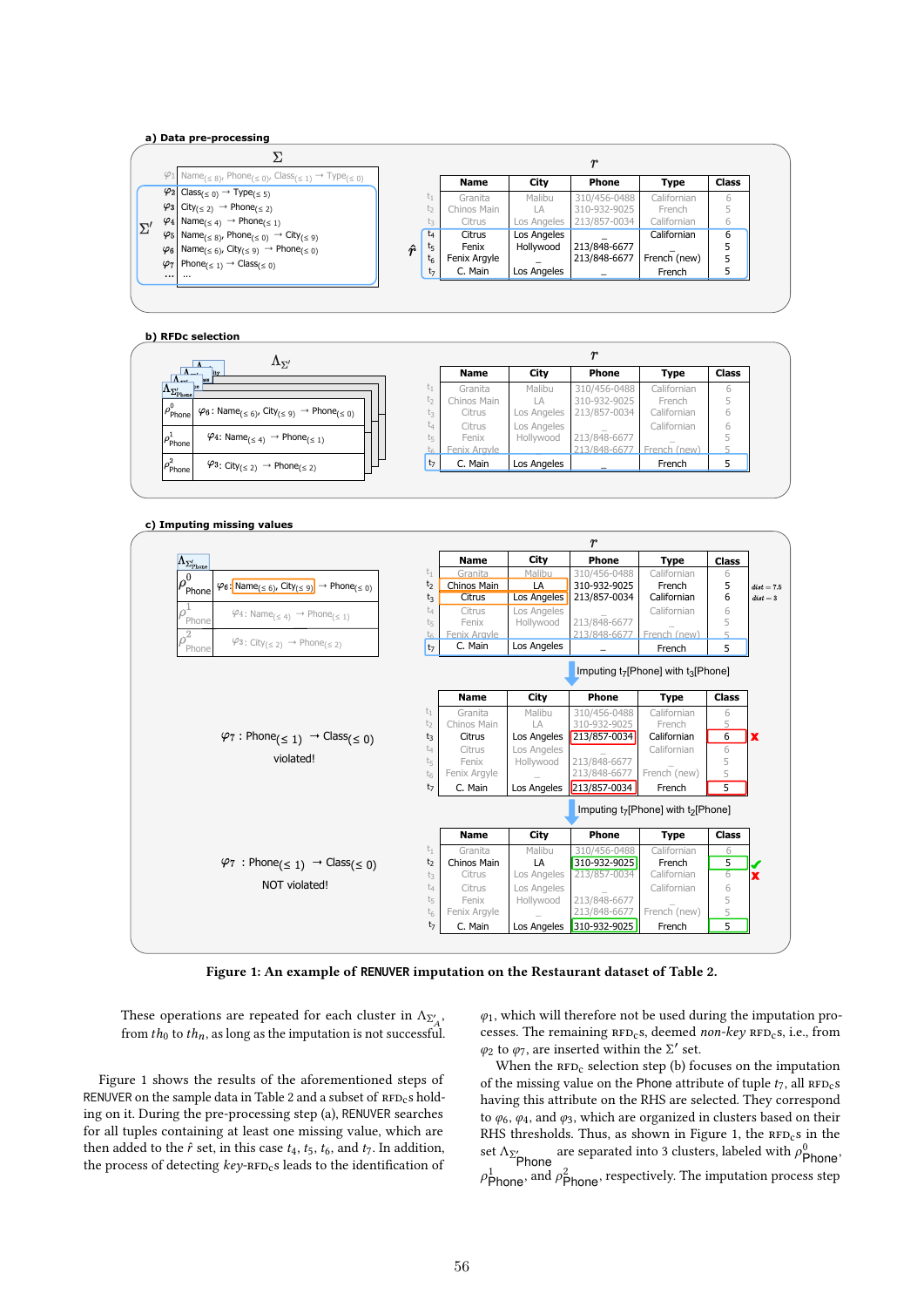#### **a) Data pre-processing**

|           | $\varphi_1$ Name <sub>(<math>\leq 8</math>)</sub> , Phone <sub>(<math>\leq 0</math>)</sub> , Class <sub>(<math>\leq 1</math>)</sub> $\rightarrow$ Type <sub>(<math>\leq 0</math>)</sub> |           |                | <b>Name</b>  | City        | Phone        | Type         | <b>Class</b> |
|-----------|-----------------------------------------------------------------------------------------------------------------------------------------------------------------------------------------|-----------|----------------|--------------|-------------|--------------|--------------|--------------|
|           | $\varphi_2$ Class <sub>(<math>\leq 0</math>)</sub> $\rightarrow$ Type <sub>(<math>\leq 5</math>)</sub>                                                                                  |           | -1             | Granita      | Malibu      | 310/456-0488 | Californian  | 6            |
|           | $\varphi_3$ City <sub>(<math>\leq 2</math>)</sub> $\rightarrow$ Phone <sub>(<math>\leq 2</math>)</sub>                                                                                  |           | t2             | Chinos Main  | LA          | 310-932-9025 | French       |              |
|           | $\varphi_4$ Name <sub>(<math>\leq 4</math>)</sub> $\rightarrow$ Phone <sub>(<math>\leq 1</math>)</sub>                                                                                  |           | Ľς             | Citrus       | Los Angeles | 213/857-0034 | Californian  | 6            |
| $\Sigma'$ | $\varphi_5$ Name <sub>(<math>\leq 8</math>)</sub> , Phone <sub>(<math>\leq 0</math>)</sub> $\rightarrow$ City <sub>(<math>\leq 9</math>)</sub>                                          |           | t4             | Citrus       | Los Angeles |              | Californian  | 6            |
|           | $\varphi_6$ Name <sub>(<math>\leq 6</math>)</sub> , City <sub>(<math>\leq 9</math>)</sub> $\rightarrow$ Phone <sub>(<math>\leq 0</math>)</sub>                                          | $\hat{r}$ | t5             | Fenix        | Hollywood   | 213/848-6677 |              |              |
|           | $\varphi_7$ Phone <sub>( <math>\leq</math> 1)</sub> $\rightarrow$ Class <sub>( <math>\leq</math> 0)</sub>                                                                               |           | $t_{6}$        | Fenix Argyle |             | 213/848-6677 | French (new) |              |
|           |                                                                                                                                                                                         |           | t <sub>7</sub> | C. Main      | Los Angeles |              | French       |              |

#### **b) RFDc selection**

| $\Lambda_{\Sigma'}$                                                                                                                                                        |       |              |             |              |              |              |
|----------------------------------------------------------------------------------------------------------------------------------------------------------------------------|-------|--------------|-------------|--------------|--------------|--------------|
| $\Lambda$ <sub>--</sub><br>lity<br>$\Lambda -$<br><b>ASS</b>                                                                                                               |       | <b>Name</b>  | City        | Phone        | <b>Type</b>  | <b>Class</b> |
| $\Lambda_{\Sigma_{\text{Phone}}}$                                                                                                                                          | ŪГ.   | Granita      | Malibu      | 310/456-0488 | Californian  | 6            |
|                                                                                                                                                                            | しつ    | Chinos Main  | LA          | 310-932-9025 | French       |              |
| $\mu_{\text{Phone}}^0$<br>$\varphi_6$ : Name <sub>(<math>\leq 6</math>)</sub> , City <sub>(<math>\leq 9</math>)</sub> $\rightarrow$ Phone <sub>(<math>\leq 0</math>)</sub> | ĽЗ    | Citrus       | Los Angeles | 213/857-0034 | Californian  | ь            |
|                                                                                                                                                                            | ĆΔ.   | Citrus       | Los Angeles |              | Californian  | b            |
| $\varphi_4$ : Name <sub>(<math>\leq 4</math>)</sub> $\rightarrow$ Phone <sub>(<math>\leq 1</math>)</sub><br>$\rho$ <sub>Phone</sub>                                        | tς    | Fenix        | Hollywood   | 213/848-6677 |              |              |
|                                                                                                                                                                            |       | Fenix Aravle |             | /848-6677    | French (new) |              |
| $\varphi_3$ : City <sub>(<math>\leq 2</math>)</sub> $\rightarrow$ Phone <sub>(<math>\leq 2</math>)</sub><br>Phone                                                          | $t_7$ | C. Main      | Los Angeles |              | French       |              |

#### **c) Imputing missing values**



Figure 1: An example of **RENUVER** imputation on the Restaurant dataset of Table 2.

These operations are repeated for each cluster in  $\Lambda_{\Sigma'_A}$ , from  $th_0$  to  $th_n$ , as long as the imputation is not successful.

Figure 1 shows the results of the aforementioned steps of RENUVER on the sample data in Table 2 and a subset of  $RFD<sub>c</sub>$ s holding on it. During the pre-processing step (a), RENUVER searches for all tuples containing at least one missing value, which are then added to the  $\hat{r}$  set, in this case  $t_4$ ,  $t_5$ ,  $t_6$ , and  $t_7$ . In addition, the process of detecting  $key$ -RFD<sub>c</sub>s leads to the identification of

 $\varphi_1$ , which will therefore not be used during the imputation processes. The remaining  $RFD<sub>c</sub>$ s, deemed non-key  $RFD<sub>c</sub>$ s, i.e., from  $φ$ <sup>2</sup> to  $φ$ <sup>7</sup>, are inserted within the Σ' set.

When the  $RFD_C$  selection step (b) focuses on the imputation of the missing value on the Phone attribute of tuple  $t_7$ , all  $RFD_c$ s having this attribute on the RHS are selected. They correspond to  $\varphi_6$ ,  $\varphi_4$ , and  $\varphi_3$ , which are organized in clusters based on their RHS thresholds. Thus, as shown in Figure 1, the  $RFD_c$ s in the set  $\Lambda_{\Sigma}$  are separated into 3 clusters, labeled with  $\rho_{\text{Phone}}^0$ .  $\rho_{\text{Phone}}^1$ , and  $\rho_{\text{Phone}}^2$ , respectively. The imputation process step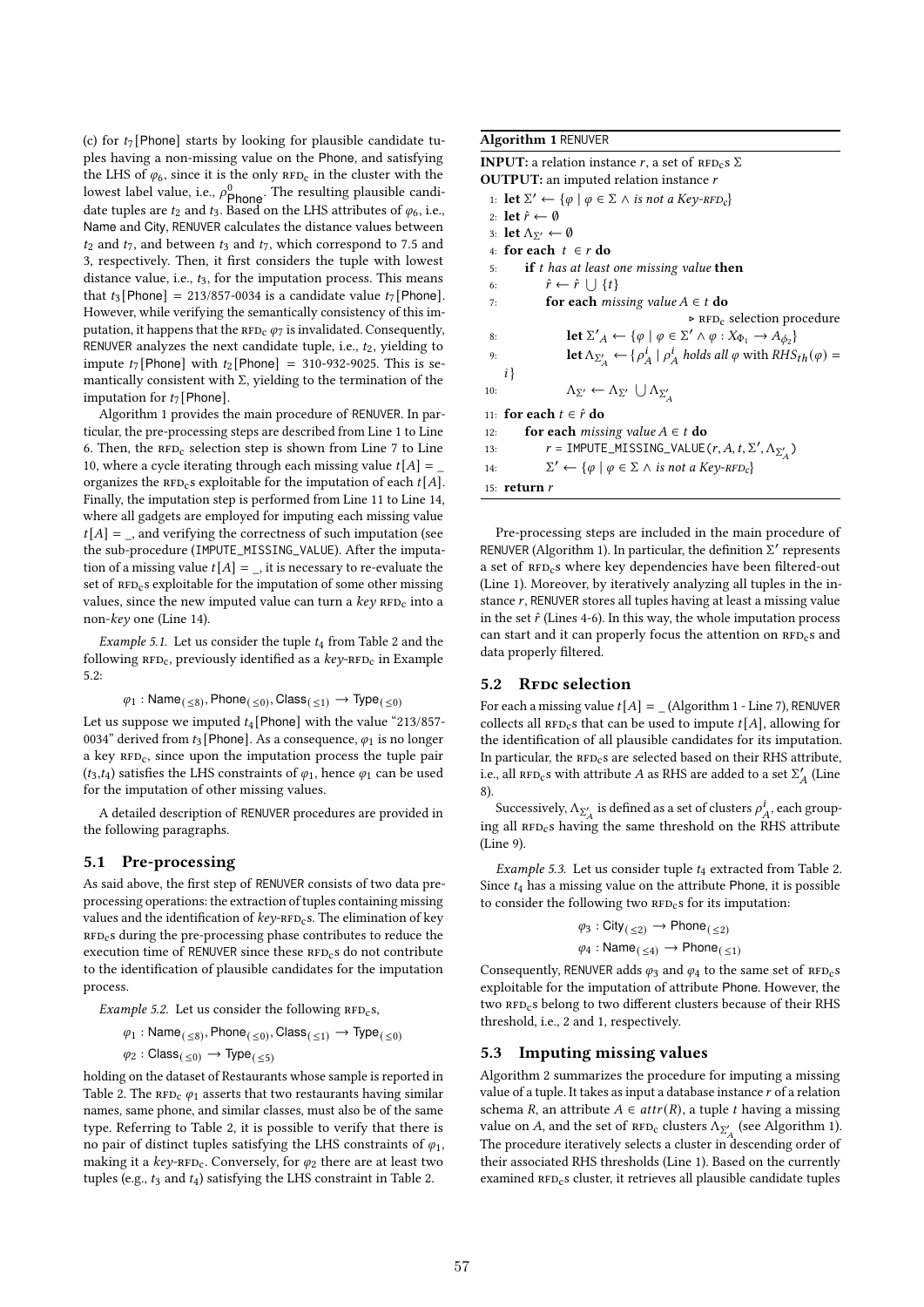(c) for  $t_7$ [Phone] starts by looking for plausible candidate tuples having a non-missing value on the Phone, and satisfying the LHS of  $\varphi_6$ , since it is the only  $RFD_c$  in the cluster with the lowest label value, i.e.,  $\rho_{\text{Phone}}^0$ . The resulting plausible candidate tuples are  $t_2$  and  $t_3$ . Based on the LHS attributes of  $\varphi_6$ , i.e., Name and City, RENUVER calculates the distance values between  $t_2$  and  $t_7$ , and between  $t_3$  and  $t_7$ , which correspond to 7.5 and 3, respectively. Then, it first considers the tuple with lowest distance value, i.e.,  $t_3$ , for the imputation process. This means that  $t_3$  [Phone] = 213/857-0034 is a candidate value  $t_7$  [Phone]. However, while verifying the semantically consistency of this imputation, it happens that the  $RFD_C \varphi$  is invalidated. Consequently, RENUVER analyzes the next candidate tuple, i.e.,  $t_2$ , yielding to impute  $t_7$ [Phone] with  $t_2$ [Phone] = 310-932-9025. This is semantically consistent with  $\Sigma$ , yielding to the termination of the imputation for  $t_7$  [Phone].

Algorithm 1 provides the main procedure of RENUVER. In particular, the pre-processing steps are described from Line 1 to Line 6. Then, the  $RFD_C$  selection step is shown from Line 7 to Line 10, where a cycle iterating through each missing value  $t[A] = \square$ organizes the  $RFD_{c}s$  exploitable for the imputation of each  $t[A].$ Finally, the imputation step is performed from Line 11 to Line 14, where all gadgets are employed for imputing each missing value  $t[A] =$ , and verifying the correctness of such imputation (see the sub-procedure (IMPUTE\_MISSING\_VALUE). After the imputation of a missing value  $t[A] =$ , it is necessary to re-evaluate the set of  $RFD<sub>c</sub>$ s exploitable for the imputation of some other missing values, since the new imputed value can turn a  $key$  RFD<sub>c</sub> into a non-key one (Line 14).

Example 5.1. Let us consider the tuple  $t_4$  from Table 2 and the following  $RFD_c$ , previously identified as a  $key$ - $RFD_c$  in Example 5.2:

$$
\varphi_1: \mathsf{Name}_{(\leq 8)}, \mathsf{Phone}_{(\leq 0)}, \mathsf{Class}_{(\leq 1)} \to \mathsf{Type}_{(\leq 0)}
$$

Let us suppose we imputed  $t_4$  [Phone] with the value "213/857-0034" derived from  $t_3$  [Phone]. As a consequence,  $\varphi_1$  is no longer a key RFD<sub>c</sub>, since upon the imputation process the tuple pair  $(t_3,t_4)$  satisfies the LHS constraints of  $\varphi_1$ , hence  $\varphi_1$  can be used for the imputation of other missing values.

A detailed description of RENUVER procedures are provided in the following paragraphs.

# 5.1 Pre-processing

As said above, the first step of RENUVER consists of two data preprocessing operations: the extraction of tuples containing missing values and the identification of  $key$ -RFD<sub>c</sub>s. The elimination of key RFD<sub>c</sub>s during the pre-processing phase contributes to reduce the execution time of RENUVER since these  $RFD<sub>c</sub>$ s do not contribute to the identification of plausible candidates for the imputation process.

Example 5.2. Let us consider the following  $RFD_{c}s$ ,

$$
\phi_1: \mathsf{Name}_{(\,\leq 8)}, \mathsf{Phone}_{(\,\leq 0)}, \mathsf{Class}_{(\,\leq 1)} \to \mathsf{Type}_{(\,\leq 0)}
$$

$$
\varphi_2: \mathsf{Class}_{(\,\leq 0)} \to \mathsf{Type}_{(\,\leq 5)}
$$

holding on the dataset of Restaurants whose sample is reported in Table 2. The  $RFD_c \varphi_1$  asserts that two restaurants having similar names, same phone, and similar classes, must also be of the same type. Referring to Table 2, it is possible to verify that there is no pair of distinct tuples satisfying the LHS constraints of  $\varphi_1$ , making it a  $key$ -RFD<sub>c</sub>. Conversely, for  $\varphi_2$  there are at least two tuples (e.g.,  $t_3$  and  $t_4$ ) satisfying the LHS constraint in Table 2.

# Algorithm 1 RENUVER

| <b>INPUT:</b> a relation instance r, a set of $RFD_{C}S \Sigma$                                                                         |
|-----------------------------------------------------------------------------------------------------------------------------------------|
| <b>OUTPUT:</b> an imputed relation instance $r$                                                                                         |
| 1: <b>let</b> $\Sigma' \leftarrow {\varphi \mid \varphi \in \Sigma \land \text{ is not a Key-RFD}_c}$                                   |
| 2: let $\hat{r} \leftarrow \emptyset$                                                                                                   |
| 3: let $\Lambda_{\Sigma'} \leftarrow \emptyset$                                                                                         |
| 4: for each $t \in r$ do                                                                                                                |
| <b>if</b> t has at least one missing value then<br>5:                                                                                   |
| $\hat{r} \leftarrow \hat{r} \cup \{t\}$<br>6:                                                                                           |
| <b>for each</b> missing value $A \in t$ <b>do</b><br>7:                                                                                 |
| $\triangleright$ RFD <sub>c</sub> selection procedure                                                                                   |
| <b>let</b> $\Sigma'_{A} \leftarrow {\varphi \mid \varphi \in \Sigma' \land \varphi : X_{\Phi_1} \rightarrow A_{\phi_2}}$<br>8:          |
| <b>let</b> $\Lambda_{\Sigma'_A} \leftarrow \{\rho^i_A \mid \rho^i_A \text{ holds all } \varphi \text{ with } RHS_{th}(\varphi) =$<br>9: |
| $i\}$                                                                                                                                   |
| $\Lambda_{\Sigma'} \leftarrow \Lambda_{\Sigma'} \cup \Lambda_{\Sigma'}$<br>10:                                                          |
| 11: for each $t \in \hat{r}$ do                                                                                                         |
| <b>for each</b> missing value $A \in t$ <b>do</b><br>12:                                                                                |
| $r = \text{IMPUTE\_MISSING\_VALUE}(r, A, t, \Sigma', \Lambda_{\Sigma_4'})$<br>13:                                                       |
| $\Sigma' \leftarrow {\varphi \mid \varphi \in \Sigma \land \text{ is not a Key-RFD}_c}$<br>14:                                          |
| 15: $return r$                                                                                                                          |

Pre-processing steps are included in the main procedure of RENUVER (Algorithm 1). In particular, the definition Σ' represents a set of RFD<sub>c</sub>s where key dependencies have been filtered-out (Line 1). Moreover, by iteratively analyzing all tuples in the instance  $r$ , RENUVER stores all tuples having at least a missing value in the set  $\hat{r}$  (Lines 4-6). In this way, the whole imputation process can start and it can properly focus the attention on  $RFD_c$ s and data properly filtered.

## 5.2 RFDc selection

For each a missing value  $t[A] = (Algorithm 1 - Line 7)$ , RENUVER collects all  $RFD<sub>c</sub>$ s that can be used to impute  $t[A]$ , allowing for the identification of all plausible candidates for its imputation. In particular, the  $RFD<sub>C</sub>s$  are selected based on their RHS attribute, i.e., all  $RFD_c$ s with attribute *A* as RHS are added to a set  $\Sigma'_{A}$  (Line 8).

Successively,  $\Lambda_{\Sigma'_A}$  is defined as a set of clusters  $\rho^i_A,$  each grouping all  $RFD<sub>c</sub>$ s having the same threshold on the RHS attribute (Line 9).

Example 5.3. Let us consider tuple  $t_4$  extracted from Table 2. Since  $t_4$  has a missing value on the attribute Phone, it is possible to consider the following two  $RFD<sub>c</sub>$ s for its imputation:

$$
\varphi_3 : \text{City}_{(\leq 2)} \to \text{Phone}_{(\leq 2)}
$$
  

$$
\varphi_4 : \text{Name}_{(\leq 4)} \to \text{Phone}_{(\leq 1)}
$$

Consequently, RENUVER adds  $\varphi_3$  and  $\varphi_4$  to the same set of RFD<sub>c</sub>s exploitable for the imputation of attribute Phone. However, the two RFD<sub>c</sub>s belong to two different clusters because of their RHS threshold, i.e., 2 and 1, respectively.

# 5.3 Imputing missing values

Algorithm 2 summarizes the procedure for imputing a missing value of a tuple. It takes as input a database instance  $r$  of a relation schema R, an attribute  $A \in attr(R)$ , a tuple t having a missing value on A, and the set of  $RFD_C$  clusters  $\Lambda_{\Sigma'_A}$  (see Algorithm 1). The procedure iteratively selects a cluster in descending order of their associated RHS thresholds (Line 1). Based on the currently examined RFD<sub>c</sub>s cluster, it retrieves all plausible candidate tuples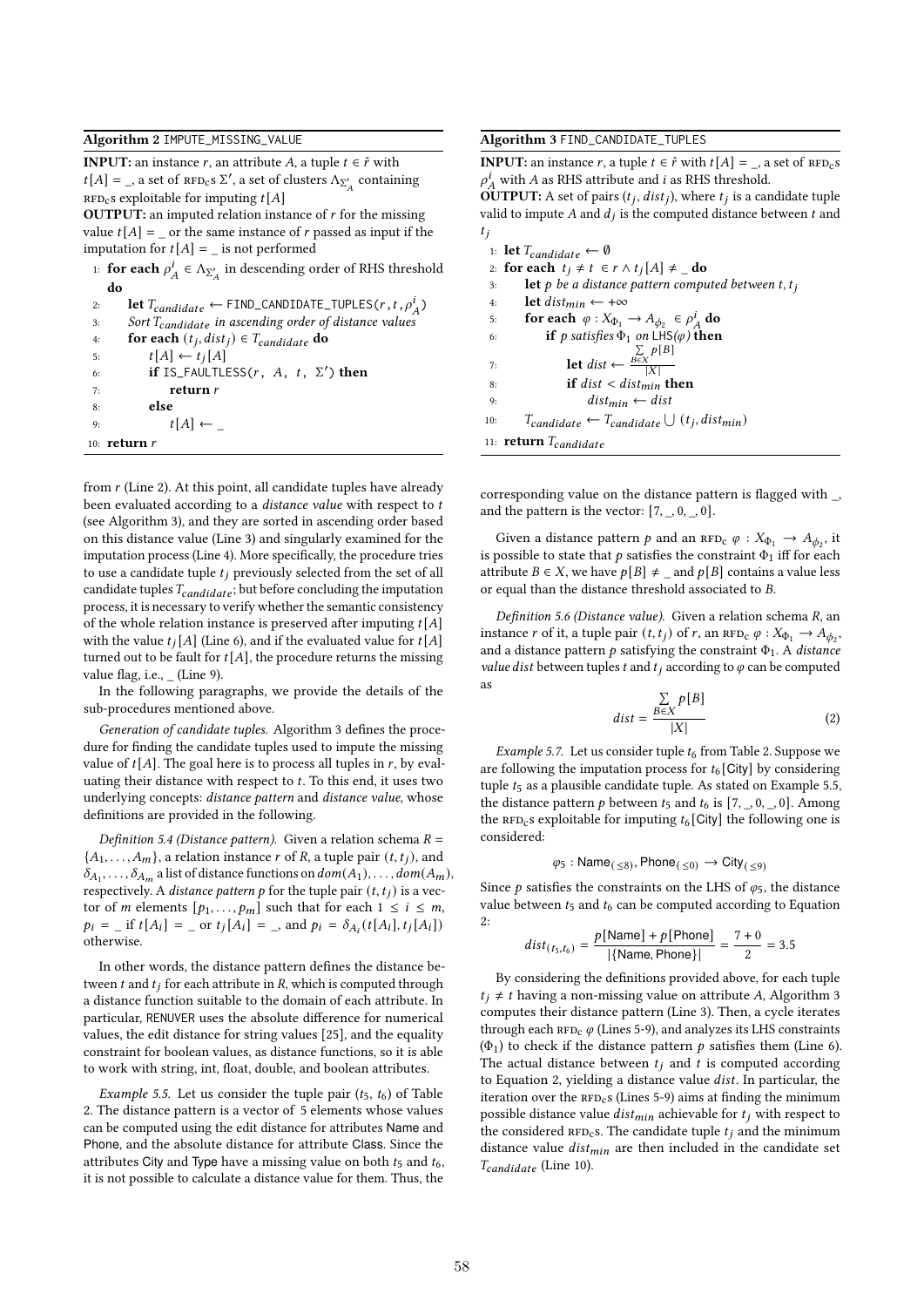#### Algorithm 2 IMPUTE\_MISSING\_VALUE

**INPUT:** an instance r, an attribute A, a tuple  $t \in \hat{r}$  with  $t[A] = \_$ , a set of  $RFD_c s \Sigma'$ , a set of clusters  $\Lambda_{\Sigma'_A}$  containing RFD<sub>c</sub>s exploitable for imputing  $t[A]$ 

**OUTPUT:** an imputed relation instance of  $r$  for the missing value  $t[A] =$  or the same instance of r passed as input if the imputation for  $t[A] =$  is not performed

|      | 1: <b>for each</b> $\rho_A^i \in \Lambda_{\Sigma_A'}$ in descending order of RHS threshold                    |  |
|------|---------------------------------------------------------------------------------------------------------------|--|
| -do- |                                                                                                               |  |
|      | 그 사람들은 아이들이 아니라 아이들은 아이들이 아니라 아이들이 아니라 아이들이 아니라 아이들이 아니라 아이들이 아니라 아이들이 아니라 아이들이 아니라 아니라 아이들이 아니라 아니라 아이들이 아니라 |  |

| 2: | <b>let</b> $T_{candidate} \leftarrow \text{FIND\_CANDIDATE\_TUPLES}(r, t, \rho_A^i)$ |
|----|--------------------------------------------------------------------------------------|
| 3: | Sort $T_{candidate}$ in ascending order of distance values                           |
| 4: | for each $(t_i, dist_i) \in T_{candidate}$ do                                        |
| 5: | $t[A] \leftarrow t_i[A]$                                                             |
| 6: | if IS_FAULTLESS( $r$ , $A$ , $t$ , $\Sigma'$ ) then                                  |
| 7: | return r                                                                             |
| 8: | else                                                                                 |
| 9: | $t[A] \leftarrow$                                                                    |
|    | 10: $return r$                                                                       |

from  $r$  (Line 2). At this point, all candidate tuples have already been evaluated according to a *distance value* with respect to  $t$ (see Algorithm 3), and they are sorted in ascending order based on this distance value (Line 3) and singularly examined for the imputation process (Line 4). More specifically, the procedure tries to use a candidate tuple  $t_i$  previously selected from the set of all candidate tuples  $T_{candidate}$ ; but before concluding the imputation process, it is necessary to verify whether the semantic consistency of the whole relation instance is preserved after imputing  $t[A]$ with the value  $t_i[A]$  (Line 6), and if the evaluated value for  $t[A]$ turned out to be fault for  $t[A]$ , the procedure returns the missing value flag, i.e., (Line 9).

In the following paragraphs, we provide the details of the sub-procedures mentioned above.

Generation of candidate tuples. Algorithm 3 defines the procedure for finding the candidate tuples used to impute the missing value of  $t[A]$ . The goal here is to process all tuples in  $r$ , by evaluating their distance with respect to  $t$ . To this end, it uses two underlying concepts: distance pattern and distance value, whose definitions are provided in the following.

Definition 5.4 (Distance pattern). Given a relation schema  $R =$  $\{A_1, \ldots, A_m\}$ , a relation instance r of R, a tuple pair  $(t, t_j)$ , and  $\delta_{A_1}, \ldots, \delta_{A_m}$  a list of distance functions on  $dom(A_1), \ldots, dom(A_m)$ , respectively. A *distance pattern p* for the tuple pair  $(t, t_j)$  is a vector of *m* elements  $[p_1, \ldots, p_m]$  such that for each  $1 \le i \le m$ ,  $p_i = \text{if } t[A_i] = \text{or } t_j[A_i] = \text{and } p_i = \delta_{A_i}(t[A_i], t_j[A_i])$ otherwise.

In other words, the distance pattern defines the distance between  $t$  and  $t_i$  for each attribute in  $R$ , which is computed through a distance function suitable to the domain of each attribute. In particular, RENUVER uses the absolute difference for numerical values, the edit distance for string values [25], and the equality constraint for boolean values, as distance functions, so it is able to work with string, int, float, double, and boolean attributes.

Example 5.5. Let us consider the tuple pair  $(t_5, t_6)$  of Table 2. The distance pattern is a vector of 5 elements whose values can be computed using the edit distance for attributes Name and Phone, and the absolute distance for attribute Class. Since the attributes City and Type have a missing value on both  $t_5$  and  $t_6$ , it is not possible to calculate a distance value for them. Thus, the

### Algorithm 3 FIND\_CANDIDATE\_TUPLES

**INPUT:** an instance r, a tuple  $t \in \hat{r}$  with  $t[A] =$  \_, a set of  $RFD_c s$  $\rho^i_A$  with A as RHS attribute and *i* as RHS threshold.

**OUTPUT:** A set of pairs  $(t_j, dist_j)$ , where  $t_j$  is a candidate tuple valid to impute  $A$  and  $d_j$  is the computed distance between  $t$  and  $t_i$ 

|     | 1: let $T_{candidate} \leftarrow \emptyset$                     |
|-----|-----------------------------------------------------------------|
|     | 2: for each $t_j \neq t \in r \wedge t_j[A] \neq \mathbf{d}$ o  |
| 3:  | <b>let</b> p be a distance pattern computed between t, $t_i$    |
| 4:  | <b>let</b> dist <sub>min</sub> $\leftarrow +\infty$             |
| 5:  | for each $\varphi: X_{\Phi_1} \to A_{\phi_2} \in \rho_A^l$ do   |
| 6:  | <b>if</b> p satisfies $\Phi_1$ on LHS( $\varphi$ ) <b>then</b>  |
|     | $\sum$ $p[B]$                                                   |
| 7:  | let $dist \leftarrow \frac{B \in X}{ X }$                       |
| 8:  | if $dist < dist_{min}$ then                                     |
| 9:  | $dist_{min} \leftarrow dist$                                    |
| 10: | $T_{candidate} \leftarrow T_{candidate} \cup (t_j, dist_{min})$ |
|     | 11: <b>return</b> $T_{candidate}$                               |

corresponding value on the distance pattern is flagged with \_, and the pattern is the vector:  $[7, .0, .0]$ .

Given a distance pattern  $p$  and an  $RFD_c \varphi : X_{\Phi_1} \to A_{\phi_2}$ , it is possible to state that  $p$  satisfies the constraint  $\Phi_1$  iff for each attribute  $B \in X$ , we have  $p[B] \neq \text{ and } p[B]$  contains a value less or equal than the distance threshold associated to  $B$ .

Definition 5.6 (Distance value). Given a relation schema  $R$ , an instance  $r$  of it, a tuple pair  $(t, t_j)$  of  $r$ , an  $RFD_C \varphi : X_{\Phi_1} \to A_{\phi_2}$ , and a distance pattern  $p$  satisfying the constraint  $\Phi_1$ . A distance value dist between tuples t and  $t_i$  according to  $\varphi$  can be computed as

$$
dist = \frac{\sum_{B \in X} p[B]}{|X|} \tag{2}
$$

Example 5.7. Let us consider tuple  $t_6$  from Table 2. Suppose we are following the imputation process for  $t_6$  [City] by considering tuple  $t_5$  as a plausible candidate tuple. As stated on Example 5.5, the distance pattern  $p$  between  $t_5$  and  $t_6$  is  $[7, ., 0, ., 0]$ . Among the RFD<sub>c</sub>s exploitable for imputing  $t_6$  [City] the following one is considered:

$$
\varphi_5: \textup{Name}_{(\,\leq 8)}, \textup{Phone}_{(\,\leq 0)} \to \textup{City}_{(\,\leq 9)}
$$

Since  $p$  satisfies the constraints on the LHS of  $\varphi_5$ , the distance value between  $t_5$  and  $t_6$  can be computed according to Equation 2:

$$
dist_{(t_5, t_6)} = \frac{p[\text{Name}] + p[\text{Phone}]}{|\{\text{Name}, \text{Phone}\}|} = \frac{7 + 0}{2} = 3.5
$$

By considering the definitions provided above, for each tuple  $t_i \neq t$  having a non-missing value on attribute A, Algorithm 3 computes their distance pattern (Line 3). Then, a cycle iterates through each  $RFD_C \varphi$  (Lines 5-9), and analyzes its LHS constraints  $(\Phi_1)$  to check if the distance pattern p satisfies them (Line 6). The actual distance between  $t_i$  and  $t$  is computed according to Equation 2, yielding a distance value *dist*. In particular, the iteration over the  $RFD<sub>c</sub>$ s (Lines 5-9) aims at finding the minimum possible distance value  $dist_{min}$  achievable for  $t_i$  with respect to the considered  $RFD<sub>c</sub>s$ . The candidate tuple  $t<sub>i</sub>$  and the minimum distance value  $dist_{min}$  are then included in the candidate set  $T_{candidate}$  (Line 10).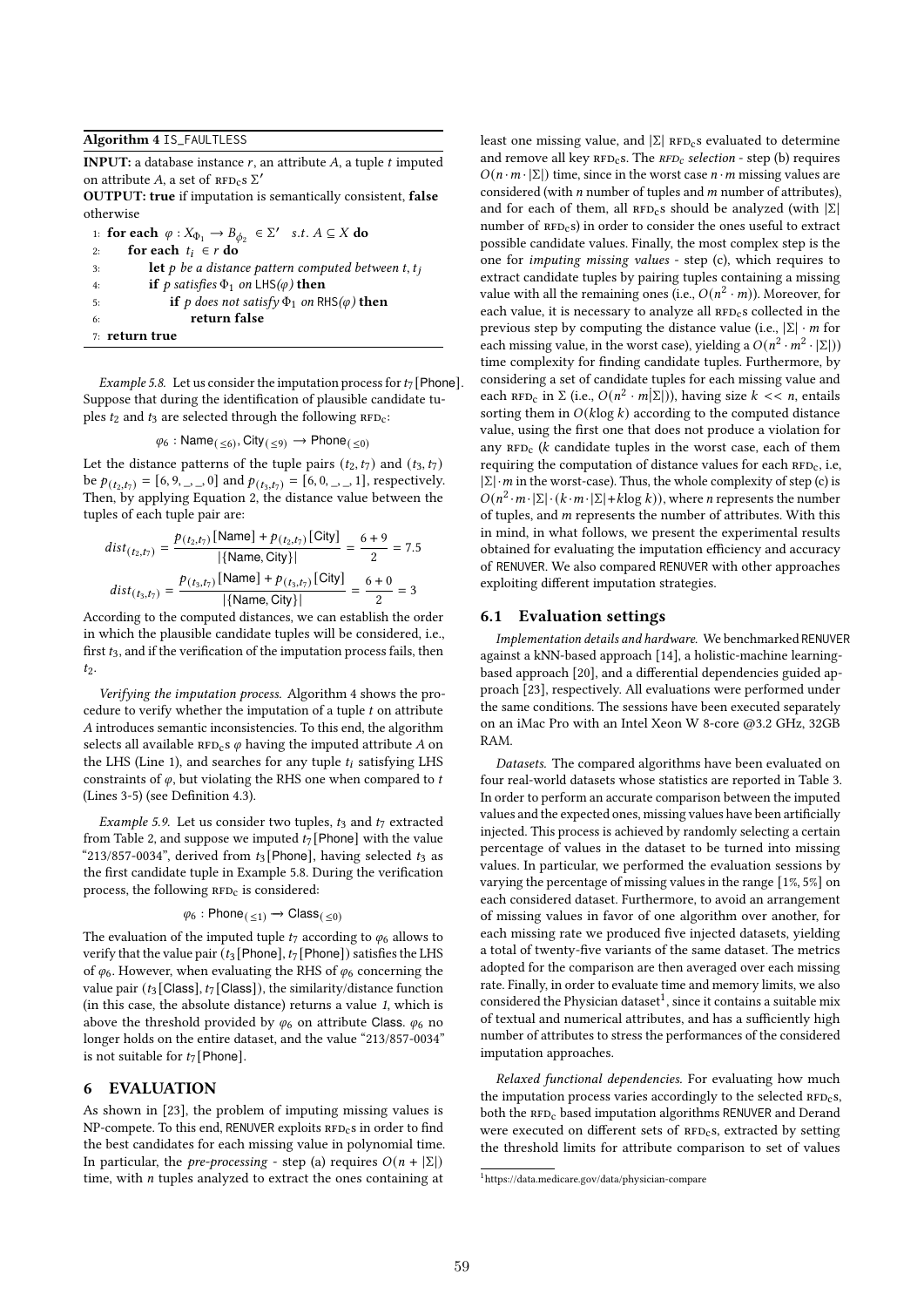#### Algorithm 4 IS\_FAULTLESS

**INPUT:** a database instance  $r$ , an attribute  $A$ , a tuple  $t$  imputed on attribute A, a set of  $RFD_cS \Sigma'$ 

OUTPUT: true if imputation is semantically consistent, false otherwise

|    | 1: for each $\varphi : X_{\Phi_1} \to B_{\phi_2} \in \Sigma'$ s.t. $A \subseteq X$ do |
|----|---------------------------------------------------------------------------------------|
| 2: | for each $t_i \in r$ do                                                               |
| 3: | <b>let</b> p be a distance pattern computed between t, $t_i$                          |
| 4: | if p satisfies $\Phi_1$ on LHS( $\varphi$ ) then                                      |
| 5: | <b>if</b> p does not satisfy $\Phi_1$ on RHS( $\varphi$ ) <b>then</b>                 |
| 6: | return false                                                                          |
|    | $7:$ return true                                                                      |

Example 5.8. Let us consider the imputation process for  $t_7$  [Phone]. Suppose that during the identification of plausible candidate tuples  $t_2$  and  $t_3$  are selected through the following  $RFD_c$ :

$$
\varphi_6: \textup{Name}_{(\,\leq 6)}, \textup{City}_{(\,\leq 9)} \rightarrow \textup{Phone}_{(\,\leq 0)}
$$

Let the distance patterns of the tuple pairs  $(t_2, t_7)$  and  $(t_3, t_7)$ be  $p(t_{2}, t_{7}) = [6, 9, 9, 9]$  and  $p(t_{3}, t_{7}) = [6, 0, 9, 9, 1]$ , respectively. Then, by applying Equation 2, the distance value between the tuples of each tuple pair are:

$$
dist_{(t_2, t_7)} = \frac{p_{(t_2, t_7)} \text{[Name]} + p_{(t_2, t_7)} \text{[City]}}{|\{\text{Name}, \text{City}\}|} = \frac{6 + 9}{2} = 7.5
$$
\n
$$
dist_{(t_3, t_7)} = \frac{p_{(t_3, t_7)} \text{[Name]} + p_{(t_3, t_7)} \text{[City]}}{|\{\text{Name}, \text{City}\}|} = \frac{6 + 0}{2} = 3
$$

According to the computed distances, we can establish the order in which the plausible candidate tuples will be considered, i.e., first  $t_3$ , and if the verification of the imputation process fails, then  $t_2$ .

Verifying the imputation process. Algorithm 4 shows the procedure to verify whether the imputation of a tuple  $t$  on attribute A introduces semantic inconsistencies. To this end, the algorithm selects all available  $RFD_cs \varphi$  having the imputed attribute A on the LHS (Line 1), and searches for any tuple  $t_i$  satisfying LHS constraints of  $\varphi$ , but violating the RHS one when compared to t (Lines 3-5) (see Definition 4.3).

Example 5.9. Let us consider two tuples,  $t_3$  and  $t_7$  extracted from Table 2, and suppose we imputed  $t_7$  [Phone] with the value "213/857-0034", derived from  $t_3$ [Phone], having selected  $t_3$  as the first candidate tuple in Example 5.8. During the verification process, the following  $RFD<sub>c</sub>$  is considered:

$$
\varphi_6: \mathsf{Phone}_{(\,\leq 1)} \to \mathsf{Class}_{(\,\leq 0)}
$$

The evaluation of the imputed tuple  $t_7$  according to  $\varphi_6$  allows to verify that the value pair ( $t_3$  [Phone],  $t_7$  [Phone]) satisfies the LHS of  $\varphi_6$ . However, when evaluating the RHS of  $\varphi_6$  concerning the value pair ( $t_3$  [Class],  $t_7$  [Class]), the similarity/distance function (in this case, the absolute distance) returns a value 1, which is above the threshold provided by  $\varphi_6$  on attribute Class.  $\varphi_6$  no longer holds on the entire dataset, and the value "213/857-0034" is not suitable for  $t_7$  [Phone].

# 6 EVALUATION

As shown in [23], the problem of imputing missing values is NP-compete. To this end, RENUVER exploits  $RFD_c$ s in order to find the best candidates for each missing value in polynomial time. In particular, the *pre-processing* - step (a) requires  $O(n + |\Sigma|)$ time, with  $n$  tuples analyzed to extract the ones containing at

least one missing value, and  $|\Sigma|$  RFD<sub>c</sub>s evaluated to determine and remove all key  $RFD_c$ s. The  $RFD_c$  selection - step (b) requires  $O(n \cdot m \cdot |\Sigma|)$  time, since in the worst case  $n \cdot m$  missing values are considered (with  $n$  number of tuples and  $m$  number of attributes), and for each of them, all  $RFD_{c}s$  should be analyzed (with  $|\Sigma|$ ) number of  $RFD<sub>c</sub>s$ ) in order to consider the ones useful to extract possible candidate values. Finally, the most complex step is the one for imputing missing values - step (c), which requires to extract candidate tuples by pairing tuples containing a missing value with all the remaining ones (i.e.,  $O(n^2 \cdot m)$ ). Moreover, for each value, it is necessary to analyze all  $RFD<sub>c</sub>$ s collected in the previous step by computing the distance value (i.e.,  $|\Sigma| \cdot m$  for each missing value, in the worst case), yielding a  $O(n^2 \cdot m^2 \cdot |\Sigma|)$ time complexity for finding candidate tuples. Furthermore, by considering a set of candidate tuples for each missing value and each  $RFD_c$  in  $\Sigma$  (i.e.,  $O(n^2 \cdot m|\Sigma|)$ ), having size  $k \ll n$ , entails sorting them in  $O(k \log k)$  according to the computed distance value, using the first one that does not produce a violation for any  $RFD_c$  ( $k$  candidate tuples in the worst case, each of them requiring the computation of distance values for each  $RFD_c$ , i.e,  $|\Sigma| \cdot m$  in the worst-case). Thus, the whole complexity of step (c) is  $O(n^2 \cdot m \cdot |\Sigma| \cdot (k \cdot m \cdot |\Sigma| + k \log k))$ , where *n* represents the number of tuples, and  $m$  represents the number of attributes. With this in mind, in what follows, we present the experimental results obtained for evaluating the imputation efficiency and accuracy of RENUVER. We also compared RENUVER with other approaches exploiting different imputation strategies.

#### 6.1 Evaluation settings

Implementation details and hardware. We benchmarked RENUVER against a kNN-based approach [14], a holistic-machine learningbased approach [20], and a differential dependencies guided approach [23], respectively. All evaluations were performed under the same conditions. The sessions have been executed separately on an iMac Pro with an Intel Xeon W 8-core @3.2 GHz, 32GB RAM.

Datasets. The compared algorithms have been evaluated on four real-world datasets whose statistics are reported in Table 3. In order to perform an accurate comparison between the imputed values and the expected ones, missing values have been artificially injected. This process is achieved by randomly selecting a certain percentage of values in the dataset to be turned into missing values. In particular, we performed the evaluation sessions by varying the percentage of missing values in the range [1%, 5%] on each considered dataset. Furthermore, to avoid an arrangement of missing values in favor of one algorithm over another, for each missing rate we produced five injected datasets, yielding a total of twenty-five variants of the same dataset. The metrics adopted for the comparison are then averaged over each missing rate. Finally, in order to evaluate time and memory limits, we also considered the Physician dataset<sup>1</sup>, since it contains a suitable mix of textual and numerical attributes, and has a sufficiently high number of attributes to stress the performances of the considered imputation approaches.

Relaxed functional dependencies. For evaluating how much the imputation process varies accordingly to the selected  $RFD_{c}s$ , both the RFD<sub>c</sub> based imputation algorithms RENUVER and Derand were executed on different sets of RFD<sub>c</sub>s, extracted by setting the threshold limits for attribute comparison to set of values

 $1$ https://data.medicare.gov/data/physician-compare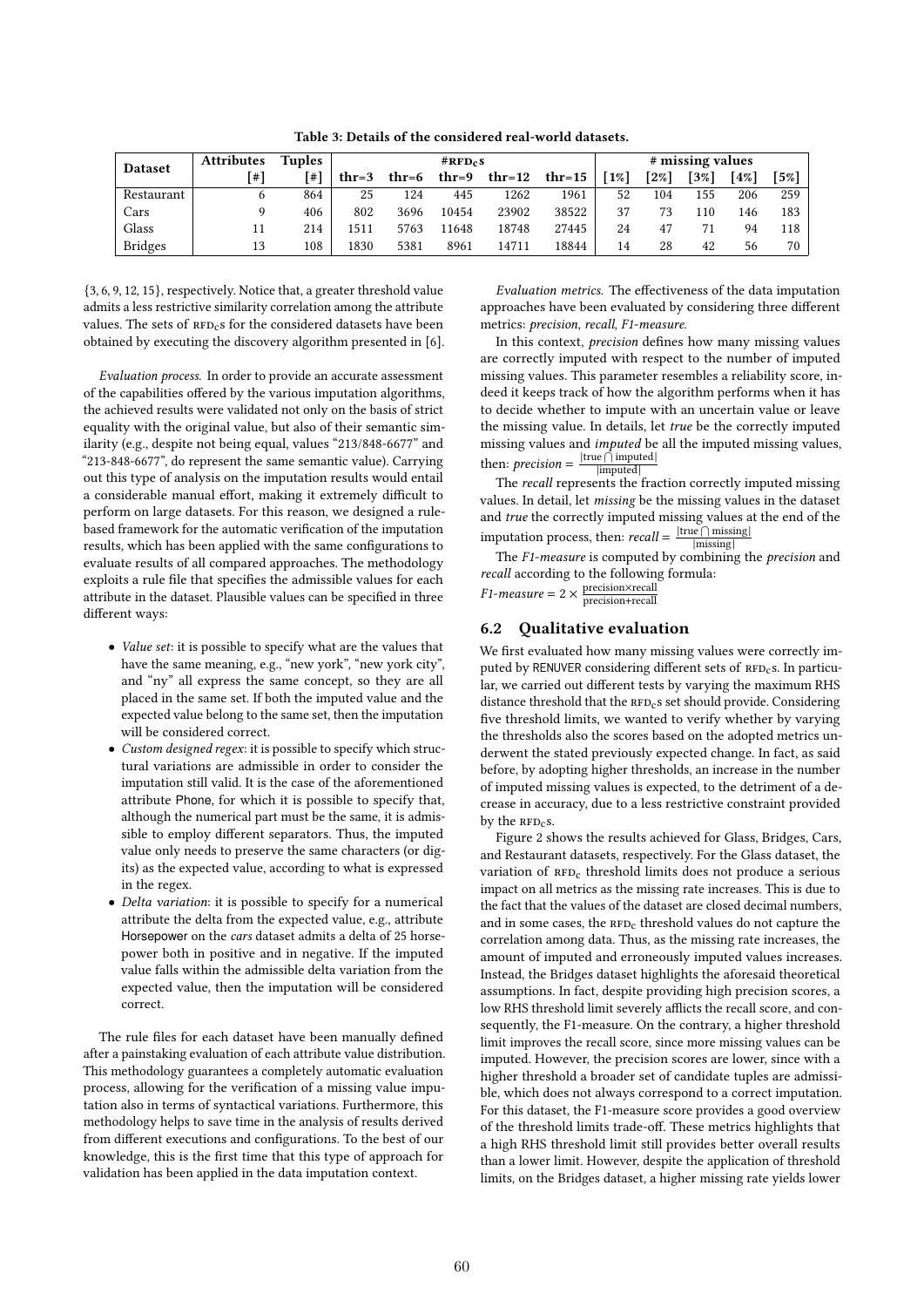Table 3: Details of the considered real-world datasets.

| <b>Dataset</b> | <b>Attributes</b> | <b>Tuples</b> |         |       | #RFD <sub>c</sub> S |        |          | # missing values |      |        |       |      |
|----------------|-------------------|---------------|---------|-------|---------------------|--------|----------|------------------|------|--------|-------|------|
|                | [#]               | ∫#`           | $thr=3$ | thr=6 | thr=9               | thr=12 | $thr=15$ | [1%]             | [2%] | $13\%$ | $4\%$ | [5%] |
| Restaurant     | <sub>0</sub>      | 864           | 25      | 124   | 445                 | 1262   | 1961     | 52               | 104  | 155    | 206   | 259  |
| Cars           |                   | 406           | 802     | 3696  | 10454               | 23902  | 38522    | 37               | 73   | 110    | 146   | 183  |
| Glass          | 11                | 214           | 1511    | 5763  | 11648               | 18748  | 27445    | 24               | 47   |        | 94    | 118  |
| <b>Bridges</b> | 13                | 108           | 1830    | 5381  | 8961                | 14711  | 18844    | 14               | 28   | 42     | 56    | 70   |

{3, 6, 9, 12, 15}, respectively. Notice that, a greater threshold value admits a less restrictive similarity correlation among the attribute values. The sets of  $RFD_c$ s for the considered datasets have been obtained by executing the discovery algorithm presented in [6].

Evaluation process. In order to provide an accurate assessment of the capabilities offered by the various imputation algorithms, the achieved results were validated not only on the basis of strict equality with the original value, but also of their semantic similarity (e.g., despite not being equal, values "213/848-6677" and "213-848-6677", do represent the same semantic value). Carrying out this type of analysis on the imputation results would entail a considerable manual effort, making it extremely difficult to perform on large datasets. For this reason, we designed a rulebased framework for the automatic verification of the imputation results, which has been applied with the same configurations to evaluate results of all compared approaches. The methodology exploits a rule file that specifies the admissible values for each attribute in the dataset. Plausible values can be specified in three different ways:

- Value set: it is possible to specify what are the values that have the same meaning, e.g., "new york", "new york city", and "ny" all express the same concept, so they are all placed in the same set. If both the imputed value and the expected value belong to the same set, then the imputation will be considered correct.
- Custom designed regex: it is possible to specify which structural variations are admissible in order to consider the imputation still valid. It is the case of the aforementioned attribute Phone, for which it is possible to specify that, although the numerical part must be the same, it is admissible to employ different separators. Thus, the imputed value only needs to preserve the same characters (or digits) as the expected value, according to what is expressed in the regex.
- Delta variation: it is possible to specify for a numerical attribute the delta from the expected value, e.g., attribute Horsepower on the cars dataset admits a delta of 25 horsepower both in positive and in negative. If the imputed value falls within the admissible delta variation from the expected value, then the imputation will be considered correct.

The rule files for each dataset have been manually defined after a painstaking evaluation of each attribute value distribution. This methodology guarantees a completely automatic evaluation process, allowing for the verification of a missing value imputation also in terms of syntactical variations. Furthermore, this methodology helps to save time in the analysis of results derived from different executions and configurations. To the best of our knowledge, this is the first time that this type of approach for validation has been applied in the data imputation context.

Evaluation metrics. The effectiveness of the data imputation approaches have been evaluated by considering three different metrics: precision, recall, F1-measure.

In this context, precision defines how many missing values are correctly imputed with respect to the number of imputed missing values. This parameter resembles a reliability score, indeed it keeps track of how the algorithm performs when it has to decide whether to impute with an uncertain value or leave the missing value. In details, let true be the correctly imputed missing values and imputed be all the imputed missing values, then: *precision* =  $\frac{|\text{true} \cap \text{imputed}|}{|\text{imputed}|}$ |imputed|

The *recall* represents the fraction correctly imputed missing values. In detail, let missing be the missing values in the dataset and true the correctly imputed missing values at the end of the imputation process, then:  $recall = \frac{|\text{true} \cap \text{missing}|}{|\text{missing}|}$ |missing|

The F1-measure is computed by combining the *precision* and recall according to the following formula:

 $F1-measure = 2 \times \frac{\text{precision} \times \text{recall}}{\text{precision} + \text{recall}}$ precision+recall

# 6.2 Qualitative evaluation

We first evaluated how many missing values were correctly imputed by RENUVER considering different sets of RFD<sub>c</sub>s. In particular, we carried out different tests by varying the maximum RHS distance threshold that the RFD<sub>c</sub>s set should provide. Considering five threshold limits, we wanted to verify whether by varying the thresholds also the scores based on the adopted metrics underwent the stated previously expected change. In fact, as said before, by adopting higher thresholds, an increase in the number of imputed missing values is expected, to the detriment of a decrease in accuracy, due to a less restrictive constraint provided by the  $RFD<sub>c</sub>$ s.

Figure 2 shows the results achieved for Glass, Bridges, Cars, and Restaurant datasets, respectively. For the Glass dataset, the variation of RFD<sub>c</sub> threshold limits does not produce a serious impact on all metrics as the missing rate increases. This is due to the fact that the values of the dataset are closed decimal numbers, and in some cases, the  $RFD_C$  threshold values do not capture the correlation among data. Thus, as the missing rate increases, the amount of imputed and erroneously imputed values increases. Instead, the Bridges dataset highlights the aforesaid theoretical assumptions. In fact, despite providing high precision scores, a low RHS threshold limit severely afflicts the recall score, and consequently, the F1-measure. On the contrary, a higher threshold limit improves the recall score, since more missing values can be imputed. However, the precision scores are lower, since with a higher threshold a broader set of candidate tuples are admissible, which does not always correspond to a correct imputation. For this dataset, the F1-measure score provides a good overview of the threshold limits trade-off. These metrics highlights that a high RHS threshold limit still provides better overall results than a lower limit. However, despite the application of threshold limits, on the Bridges dataset, a higher missing rate yields lower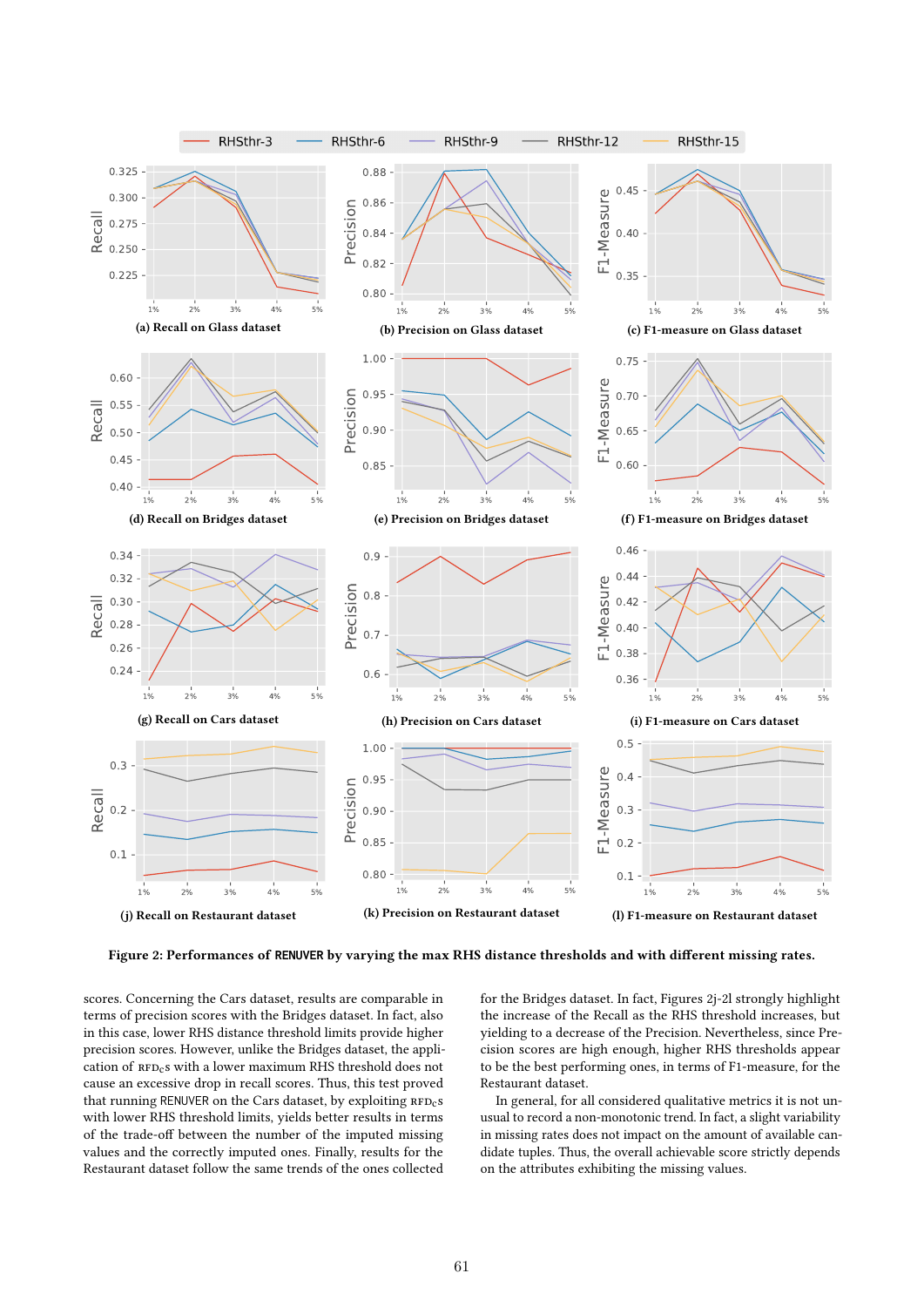

Figure 2: Performances of **RENUVER** by varying the max RHS distance thresholds and with different missing rates.

scores. Concerning the Cars dataset, results are comparable in terms of precision scores with the Bridges dataset. In fact, also in this case, lower RHS distance threshold limits provide higher precision scores. However, unlike the Bridges dataset, the application of RFD<sub>c</sub>s with a lower maximum RHS threshold does not cause an excessive drop in recall scores. Thus, this test proved that running RENUVER on the Cars dataset, by exploiting  $RFD_{c}s$ with lower RHS threshold limits, yields better results in terms of the trade-off between the number of the imputed missing values and the correctly imputed ones. Finally, results for the Restaurant dataset follow the same trends of the ones collected

for the Bridges dataset. In fact, Figures 2j-2l strongly highlight the increase of the Recall as the RHS threshold increases, but yielding to a decrease of the Precision. Nevertheless, since Precision scores are high enough, higher RHS thresholds appear to be the best performing ones, in terms of F1-measure, for the Restaurant dataset.

In general, for all considered qualitative metrics it is not unusual to record a non-monotonic trend. In fact, a slight variability in missing rates does not impact on the amount of available candidate tuples. Thus, the overall achievable score strictly depends on the attributes exhibiting the missing values.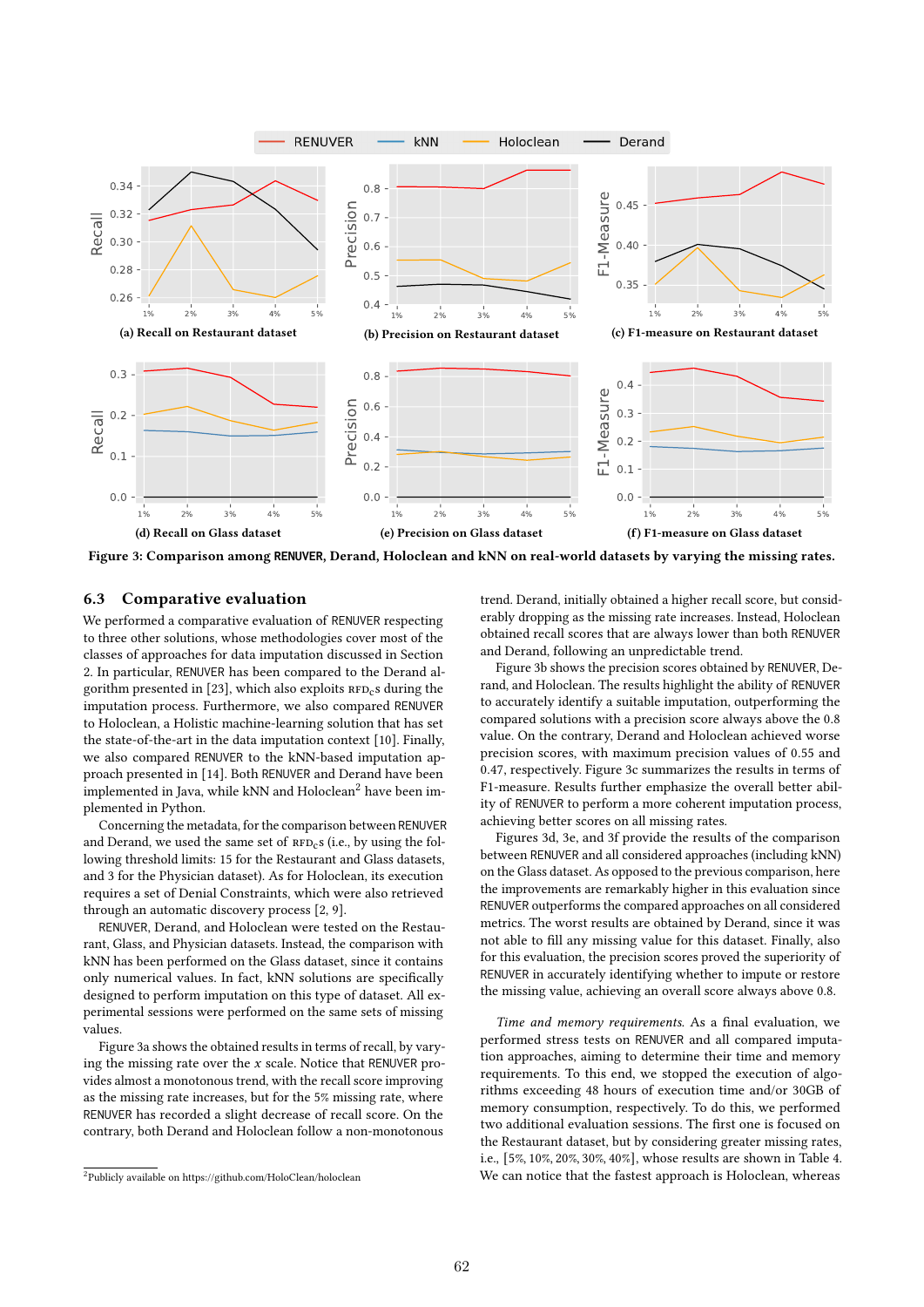

Figure 3: Comparison among **RENUVER**, Derand, Holoclean and kNN on real-world datasets by varying the missing rates.

## 6.3 Comparative evaluation

We performed a comparative evaluation of RENUVER respecting to three other solutions, whose methodologies cover most of the classes of approaches for data imputation discussed in Section 2. In particular, RENUVER has been compared to the Derand algorithm presented in [23], which also exploits  $RFD_c$ s during the imputation process. Furthermore, we also compared RENUVER to Holoclean, a Holistic machine-learning solution that has set the state-of-the-art in the data imputation context [10]. Finally, we also compared RENUVER to the kNN-based imputation approach presented in [14]. Both RENUVER and Derand have been implemented in Java, while kNN and Holoclean<sup>2</sup> have been implemented in Python.

Concerning the metadata, for the comparison between RENUVER and Derand, we used the same set of  $RFD<sub>c</sub>$ s (i.e., by using the following threshold limits: 15 for the Restaurant and Glass datasets, and 3 for the Physician dataset). As for Holoclean, its execution requires a set of Denial Constraints, which were also retrieved through an automatic discovery process [2, 9].

RENUVER, Derand, and Holoclean were tested on the Restaurant, Glass, and Physician datasets. Instead, the comparison with kNN has been performed on the Glass dataset, since it contains only numerical values. In fact, kNN solutions are specifically designed to perform imputation on this type of dataset. All experimental sessions were performed on the same sets of missing values.

Figure 3a shows the obtained results in terms of recall, by varying the missing rate over the  $x$  scale. Notice that RENUVER provides almost a monotonous trend, with the recall score improving as the missing rate increases, but for the 5% missing rate, where RENUVER has recorded a slight decrease of recall score. On the contrary, both Derand and Holoclean follow a non-monotonous

trend. Derand, initially obtained a higher recall score, but considerably dropping as the missing rate increases. Instead, Holoclean obtained recall scores that are always lower than both RENUVER and Derand, following an unpredictable trend.

Figure 3b shows the precision scores obtained by RENUVER, Derand, and Holoclean. The results highlight the ability of RENUVER to accurately identify a suitable imputation, outperforming the compared solutions with a precision score always above the 0.8 value. On the contrary, Derand and Holoclean achieved worse precision scores, with maximum precision values of 0.55 and 0.47, respectively. Figure 3c summarizes the results in terms of F1-measure. Results further emphasize the overall better ability of RENUVER to perform a more coherent imputation process, achieving better scores on all missing rates.

Figures 3d, 3e, and 3f provide the results of the comparison between RENUVER and all considered approaches (including kNN) on the Glass dataset. As opposed to the previous comparison, here the improvements are remarkably higher in this evaluation since RENUVER outperforms the compared approaches on all considered metrics. The worst results are obtained by Derand, since it was not able to fill any missing value for this dataset. Finally, also for this evaluation, the precision scores proved the superiority of RENUVER in accurately identifying whether to impute or restore the missing value, achieving an overall score always above 0.8.

Time and memory requirements. As a final evaluation, we performed stress tests on RENUVER and all compared imputation approaches, aiming to determine their time and memory requirements. To this end, we stopped the execution of algorithms exceeding 48 hours of execution time and/or 30GB of memory consumption, respectively. To do this, we performed two additional evaluation sessions. The first one is focused on the Restaurant dataset, but by considering greater missing rates, i.e., [5%, 10%, 20%, 30%, 40%], whose results are shown in Table 4. We can notice that the fastest approach is Holoclean, whereas

<sup>2</sup>Publicly available on https://github.com/HoloClean/holoclean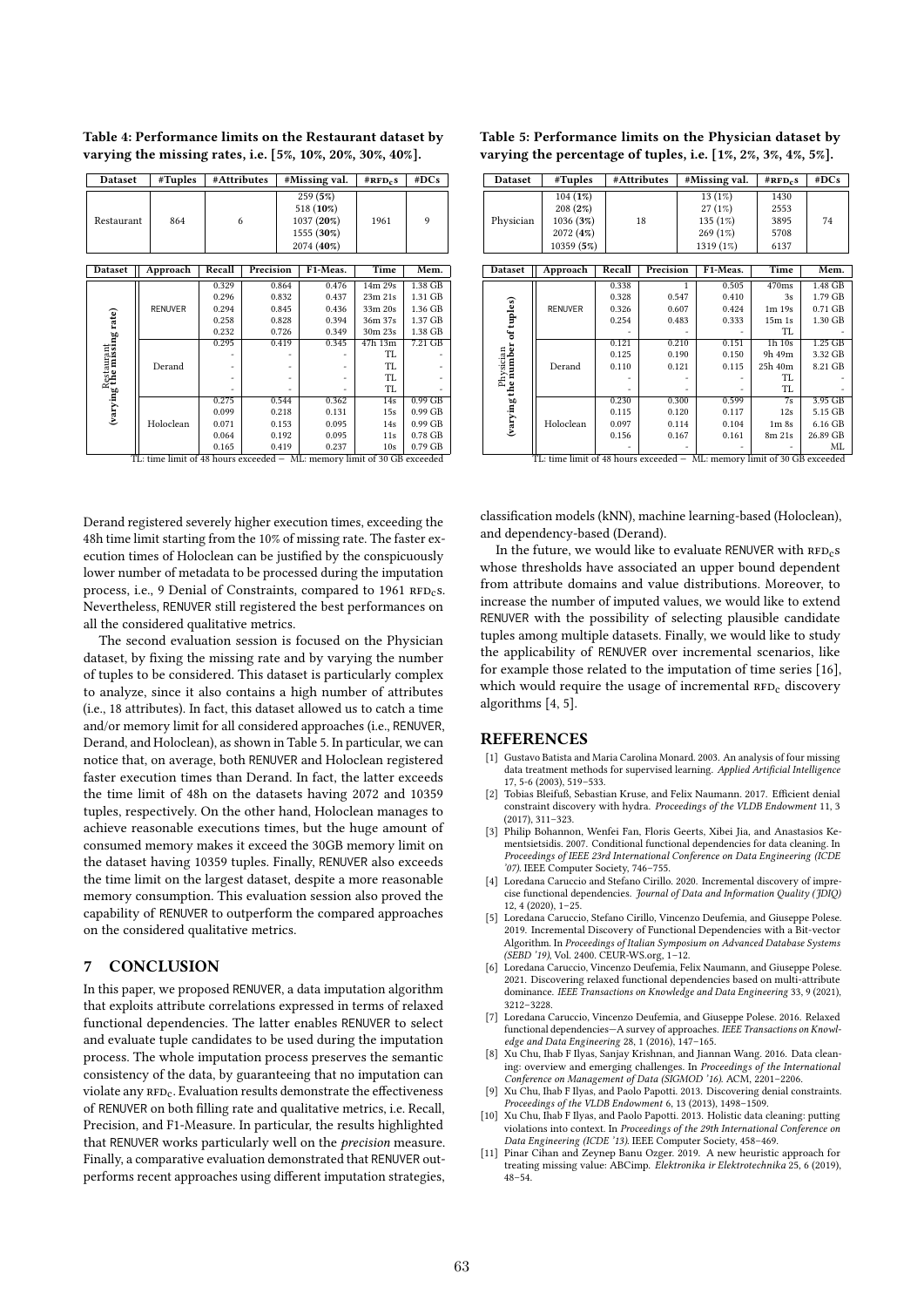| <b>Dataset</b>                           | #Tuples                                                                                   | #Attributes                                        |                                                    |  | #Missing val.                                      | $#RFD_cS$                                                                                                   | #DCs                                                           |  |  |  |  |  |  |  |  |  |  |  |  |  |  |  |  |  |  |  |  |  |   |  |  |  |  |  |  |  |  |  |                                                                 |      |   |
|------------------------------------------|-------------------------------------------------------------------------------------------|----------------------------------------------------|----------------------------------------------------|--|----------------------------------------------------|-------------------------------------------------------------------------------------------------------------|----------------------------------------------------------------|--|--|--|--|--|--|--|--|--|--|--|--|--|--|--|--|--|--|--|--|--|---|--|--|--|--|--|--|--|--|--|-----------------------------------------------------------------|------|---|
| Restaurant                               | 864                                                                                       |                                                    |                                                    |  |                                                    |                                                                                                             |                                                                |  |  |  |  |  |  |  |  |  |  |  |  |  |  |  |  |  |  |  |  |  | 6 |  |  |  |  |  |  |  |  |  | 259 (5%)<br>518 (10%)<br>1037 (20%)<br>1555 (30%)<br>2074 (40%) | 1961 | 9 |
| Dataset                                  | Approach                                                                                  | Recall                                             | Precision                                          |  | F1-Meas.                                           | Time                                                                                                        | Mem.                                                           |  |  |  |  |  |  |  |  |  |  |  |  |  |  |  |  |  |  |  |  |  |   |  |  |  |  |  |  |  |  |  |                                                                 |      |   |
| Restaurant<br>(varying the missing rate) | <b>RENUVER</b><br>Derand                                                                  | 0.329<br>0.296<br>0.294<br>0.258<br>0.232<br>0.295 | 0.864<br>0.832<br>0.845<br>0.828<br>0.726<br>0.419 |  | 0.476<br>0.437<br>0.436<br>0.394<br>0.349<br>0.345 | 14m 29s<br>23m 21s<br>33m 20s<br>36m 37s<br>30m 23s<br>47h 13m<br>TL<br><b>TL</b><br><b>TL</b><br><b>TL</b> | 1.38 GB<br>1.31 GB<br>1.36 GB<br>1.37 GB<br>1.38 GB<br>7.21 GB |  |  |  |  |  |  |  |  |  |  |  |  |  |  |  |  |  |  |  |  |  |   |  |  |  |  |  |  |  |  |  |                                                                 |      |   |
|                                          | Holoclean<br>$TL:$ time limit of 48 hours exceeded $-$ ML: memory limit of 30 GB exceeded | 0.275<br>0.099<br>0.071<br>0.064<br>0.165          | 0.544<br>0.218<br>0.153<br>0.192<br>0.419          |  | 0.362<br>0.131<br>0.095<br>0.095<br>0.237          | 14s<br>15s<br>14s<br>11s<br>10s                                                                             | $0.99$ GB<br>0.99 GB<br>0.99 GB<br>0.78 GB<br>0.79 GB          |  |  |  |  |  |  |  |  |  |  |  |  |  |  |  |  |  |  |  |  |  |   |  |  |  |  |  |  |  |  |  |                                                                 |      |   |

Table 4: Performance limits on the Restaurant dataset by varying the missing rates, i.e. [5%, 10%, 20%, 30%, 40%].

Derand registered severely higher execution times, exceeding the 48h time limit starting from the 10% of missing rate. The faster execution times of Holoclean can be justified by the conspicuously lower number of metadata to be processed during the imputation process, i.e., 9 Denial of Constraints, compared to 1961 RFD<sub>c</sub>s. Nevertheless, RENUVER still registered the best performances on all the considered qualitative metrics.

The second evaluation session is focused on the Physician dataset, by fixing the missing rate and by varying the number of tuples to be considered. This dataset is particularly complex to analyze, since it also contains a high number of attributes (i.e., 18 attributes). In fact, this dataset allowed us to catch a time and/or memory limit for all considered approaches (i.e., RENUVER, Derand, and Holoclean), as shown in Table 5. In particular, we can notice that, on average, both RENUVER and Holoclean registered faster execution times than Derand. In fact, the latter exceeds the time limit of 48h on the datasets having 2072 and 10359 tuples, respectively. On the other hand, Holoclean manages to achieve reasonable executions times, but the huge amount of consumed memory makes it exceed the 30GB memory limit on the dataset having 10359 tuples. Finally, RENUVER also exceeds the time limit on the largest dataset, despite a more reasonable memory consumption. This evaluation session also proved the capability of RENUVER to outperform the compared approaches on the considered qualitative metrics.

## 7 CONCLUSION

In this paper, we proposed RENUVER, a data imputation algorithm that exploits attribute correlations expressed in terms of relaxed functional dependencies. The latter enables RENUVER to select and evaluate tuple candidates to be used during the imputation process. The whole imputation process preserves the semantic consistency of the data, by guaranteeing that no imputation can violate any  $RFD_C$ . Evaluation results demonstrate the effectiveness of RENUVER on both filling rate and qualitative metrics, i.e. Recall, Precision, and F1-Measure. In particular, the results highlighted that RENUVER works particularly well on the precision measure. Finally, a comparative evaluation demonstrated that RENUVER outperforms recent approaches using different imputation strategies,

| Table 5: Performance limits on the Physician dataset by      |
|--------------------------------------------------------------|
| varying the percentage of tuples, i.e. [1%, 2%, 3%, 4%, 5%]. |

| <b>Dataset</b>                                                           | #Tuples        | #Attributes |           | #Missing val. |           | $#RFD_cS$                     | #DCs      |
|--------------------------------------------------------------------------|----------------|-------------|-----------|---------------|-----------|-------------------------------|-----------|
|                                                                          | 104 (1%)       |             |           |               | 13(1%)    | 1430                          |           |
|                                                                          | 208(2%)        |             |           |               | 27(1%)    | 2553                          |           |
| Physician                                                                | 1036 (3%)      |             | 18        |               | 135 (1%)  | 3895                          | 74        |
|                                                                          | 2072 (4%)      |             |           |               | 269 (1%)  | 5708                          |           |
|                                                                          | 10359 (5%)     |             |           |               | 1319 (1%) | 6137                          |           |
|                                                                          |                |             |           |               |           |                               |           |
| Dataset                                                                  | Approach       | Recall      | Precision |               | F1-Meas.  | Time                          | Mem.      |
| (varying the number of tuples)<br>Physician                              | <b>RENUVER</b> | 0.338       | 1         |               | 0.505     | 470ms                         | 1.48 GB   |
|                                                                          |                | 0.328       | 0.547     |               | 0.410     | 3s                            | 1.79 GB   |
|                                                                          |                | 0.326       | 0.607     |               | 0.424     | $1m$ 19 $s$                   | 0.71 GB   |
|                                                                          |                | 0.254       | 0.483     |               | 0.333     | 15m1s                         | 1.30 GB   |
|                                                                          |                |             |           |               |           | TL                            |           |
|                                                                          | Derand         | 0.121       | 0.210     |               | 0.151     | $1h$ $10s$                    | $1.25$ GB |
|                                                                          |                | 0.125       | 0.190     |               | 0.150     | 9h 49m                        | 3.32 GB   |
|                                                                          |                | 0.110       | 0.121     |               | 0.115     | 25h 40m                       | 8.21 GB   |
|                                                                          |                |             |           |               |           | TI.                           |           |
|                                                                          |                |             |           |               |           | TL                            |           |
|                                                                          | Holoclean      | 0.230       | 0.300     |               | 0.599     | $\overline{7s}$               | 3.95 GB   |
|                                                                          |                | 0.115       | 0.120     |               | 0.117     | 12s                           | 5.15 GB   |
|                                                                          |                | 0.097       | 0.114     |               | 0.104     | 1 <sub>m</sub> 8 <sub>s</sub> | 6.16 GB   |
|                                                                          |                | 0.156       | 0.167     |               | 0.161     | 8m 21s                        | 26.89 GB  |
|                                                                          |                |             |           |               |           |                               | ML        |
| TL: time limit of 48 hours exceeded - ML: memory limit of 30 GB exceeded |                |             |           |               |           |                               |           |

classification models (kNN), machine learning-based (Holoclean), and dependency-based (Derand).

In the future, we would like to evaluate RENUVER with  $RFD_{c}s$ whose thresholds have associated an upper bound dependent from attribute domains and value distributions. Moreover, to increase the number of imputed values, we would like to extend RENUVER with the possibility of selecting plausible candidate tuples among multiple datasets. Finally, we would like to study the applicability of RENUVER over incremental scenarios, like for example those related to the imputation of time series [16], which would require the usage of incremental  $RFD_c$  discovery algorithms [4, 5].

### **REFERENCES**

- [1] Gustavo Batista and Maria Carolina Monard. 2003. An analysis of four missing data treatment methods for supervised learning. Applied Artificial Intelligence 17, 5-6 (2003), 519–533.
- [2] Tobias Bleifuß, Sebastian Kruse, and Felix Naumann. 2017. Efficient denial constraint discovery with hydra. Proceedings of the VLDB Endowment 11, 3 (2017), 311–323.
- Philip Bohannon, Wenfei Fan, Floris Geerts, Xibei Jia, and Anastasios Kementsietsidis. 2007. Conditional functional dependencies for data cleaning. In Proceedings of IEEE 23rd International Conference on Data Engineering (ICDE '07). IEEE Computer Society, 746–755.
- Loredana Caruccio and Stefano Cirillo. 2020. Incremental discovery of imprecise functional dependencies. Journal of Data and Information Quality (JDIQ) 12, 4 (2020), 1–25.
- Loredana Caruccio, Stefano Cirillo, Vincenzo Deufemia, and Giuseppe Polese. 2019. Incremental Discovery of Functional Dependencies with a Bit-vector Algorithm. In Proceedings of Italian Symposium on Advanced Database Systems (SEBD '19), Vol. 2400. CEUR-WS.org, 1–12.
- Loredana Caruccio, Vincenzo Deufemia, Felix Naumann, and Giuseppe Polese. 2021. Discovering relaxed functional dependencies based on multi-attribute dominance. IEEE Transactions on Knowledge and Data Engineering 33, 9 (2021). 3212–3228.
- [7] Loredana Caruccio, Vincenzo Deufemia, and Giuseppe Polese. 2016. Relaxed functional dependencies—A survey of approaches. IEEE Transactions on Knowl-edge and Data Engineering 28, 1 (2016), 147–165.
- [8] Xu Chu, Ihab F Ilyas, Sanjay Krishnan, and Jiannan Wang. 2016. Data cleaning: overview and emerging challenges. In Proceedings of the International Conference on Management of Data (SIGMOD '16). ACM, 2201–2206.
- [9] Xu Chu, Ihab F Ilyas, and Paolo Papotti. 2013. Discovering denial constraints. Proceedings of the VLDB Endowment 6, 13 (2013), 1498–1509.
- [10] Xu Chu, Ihab F Ilyas, and Paolo Papotti. 2013. Holistic data cleaning: putting violations into context. In Proceedings of the 29th International Conference on Data Engineering (ICDE '13). IEEE Computer Society, 458–469.
- [11] Pinar Cihan and Zeynep Banu Ozger. 2019. A new heuristic approach for treating missing value: ABCimp. Elektronika ir Elektrotechnika 25, 6 (2019), 48–54.